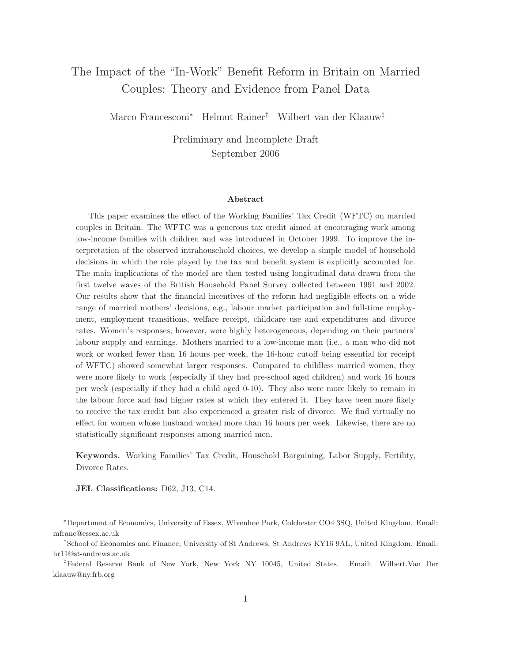# The Impact of the "In-Work" Benefit Reform in Britain on Married Couples: Theory and Evidence from Panel Data

Marco Francesconi<sup>∗</sup> Helmut Rainer† Wilbert van der Klaauw‡

Preliminary and Incomplete Draft September 2006

#### Abstract

This paper examines the effect of the Working Families' Tax Credit (WFTC) on married couples in Britain. The WFTC was a generous tax credit aimed at encouraging work among low-income families with children and was introduced in October 1999. To improve the interpretation of the observed intrahousehold choices, we develop a simple model of household decisions in which the role played by the tax and benefit system is explicitly accounted for. The main implications of the model are then tested using longitudinal data drawn from the first twelve waves of the British Household Panel Survey collected between 1991 and 2002. Our results show that the financial incentives of the reform had negligible effects on a wide range of married mothers' decisions, e.g., labour market participation and full-time employment, employment transitions, welfare receipt, childcare use and expenditures and divorce rates. Women's responses, however, were highly heterogeneous, depending on their partners' labour supply and earnings. Mothers married to a low-income man (i.e., a man who did not work or worked fewer than 16 hours per week, the 16-hour cutoff being essential for receipt of WFTC) showed somewhat larger responses. Compared to childless married women, they were more likely to work (especially if they had pre-school aged children) and work 16 hours per week (especially if they had a child aged 0-10). They also were more likely to remain in the labour force and had higher rates at which they entered it. They have been more likely to receive the tax credit but also experienced a greater risk of divorce. We find virtually no effect for women whose husband worked more than 16 hours per week. Likewise, there are no statistically significant responses among married men.

Keywords. Working Families' Tax Credit, Household Bargaining, Labor Supply, Fertility, Divorce Rates.

JEL Classifications: D62, J13, C14.

<sup>∗</sup>Department of Economics, University of Essex, Wivenhoe Park, Colchester CO4 3SQ, United Kingdom. Email: mfranc@essex.ac.uk

<sup>†</sup>School of Economics and Finance, University of St Andrews, St Andrews KY16 9AL, United Kingdom. Email: hr11@st-andrews.ac.uk

<sup>‡</sup>Federal Reserve Bank of New York, New York NY 10045, United States. Email: Wilbert.Van Der klaauw@ny.frb.org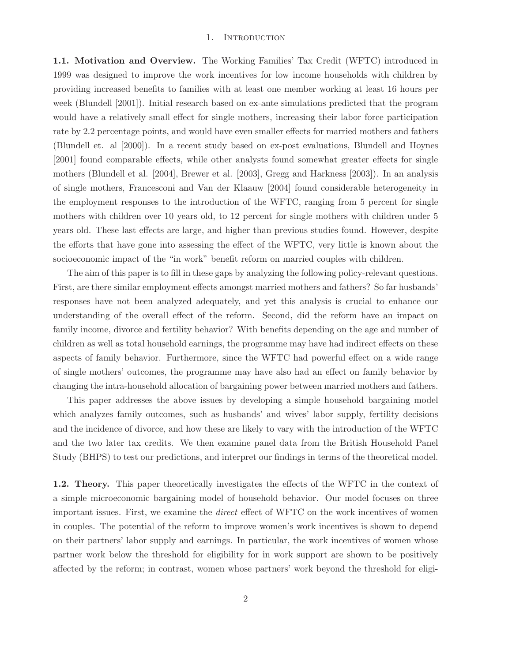#### 1. INTRODUCTION

1.1. Motivation and Overview. The Working Families' Tax Credit (WFTC) introduced in 1999 was designed to improve the work incentives for low income households with children by providing increased benefits to families with at least one member working at least 16 hours per week (Blundell [2001]). Initial research based on ex-ante simulations predicted that the program would have a relatively small effect for single mothers, increasing their labor force participation rate by 2.2 percentage points, and would have even smaller effects for married mothers and fathers (Blundell et. al [2000]). In a recent study based on ex-post evaluations, Blundell and Hoynes [2001] found comparable effects, while other analysts found somewhat greater effects for single mothers (Blundell et al. [2004], Brewer et al. [2003], Gregg and Harkness [2003]). In an analysis of single mothers, Francesconi and Van der Klaauw [2004] found considerable heterogeneity in the employment responses to the introduction of the WFTC, ranging from 5 percent for single mothers with children over 10 years old, to 12 percent for single mothers with children under 5 years old. These last effects are large, and higher than previous studies found. However, despite the efforts that have gone into assessing the effect of the WFTC, very little is known about the socioeconomic impact of the "in work" benefit reform on married couples with children.

The aim of this paper is to fill in these gaps by analyzing the following policy-relevant questions. First, are there similar employment effects amongst married mothers and fathers? So far husbands' responses have not been analyzed adequately, and yet this analysis is crucial to enhance our understanding of the overall effect of the reform. Second, did the reform have an impact on family income, divorce and fertility behavior? With benefits depending on the age and number of children as well as total household earnings, the programme may have had indirect effects on these aspects of family behavior. Furthermore, since the WFTC had powerful effect on a wide range of single mothers' outcomes, the programme may have also had an effect on family behavior by changing the intra-household allocation of bargaining power between married mothers and fathers.

This paper addresses the above issues by developing a simple household bargaining model which analyzes family outcomes, such as husbands' and wives' labor supply, fertility decisions and the incidence of divorce, and how these are likely to vary with the introduction of the WFTC and the two later tax credits. We then examine panel data from the British Household Panel Study (BHPS) to test our predictions, and interpret our findings in terms of the theoretical model.

1.2. Theory. This paper theoretically investigates the effects of the WFTC in the context of a simple microeconomic bargaining model of household behavior. Our model focuses on three important issues. First, we examine the direct effect of WFTC on the work incentives of women in couples. The potential of the reform to improve women's work incentives is shown to depend on their partners' labor supply and earnings. In particular, the work incentives of women whose partner work below the threshold for eligibility for in work support are shown to be positively affected by the reform; in contrast, women whose partners' work beyond the threshold for eligi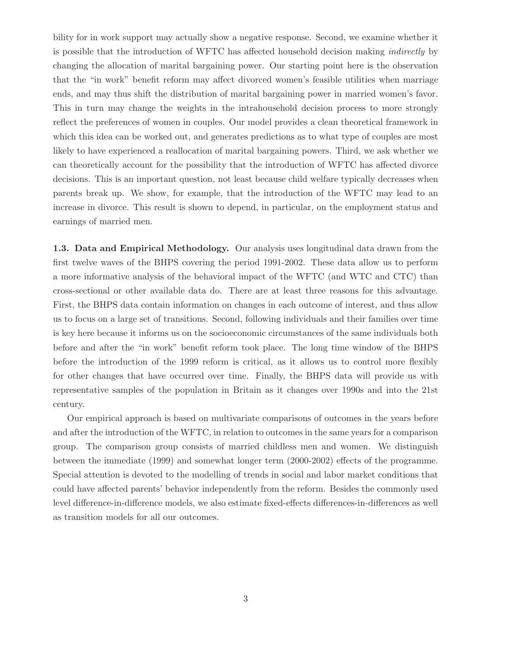bility for in work support may actually show a negative response. Second, we examine whether it is possible that the introduction of WFTC has affected household decision making indirectly by changing the allocation of marital bargaining power. Our starting point here is the observation that the "in work" benefit reform may affect divorced women's feasible utilities when marriage ends, and may thus shift the distribution of marital bargaining power in married women's favor. This in turn may change the weights in the intrahousehold decision process to more strongly reflect the preferences of women in couples. Our model provides a clean theoretical framework in which this idea can be worked out, and generates predictions as to what type of couples are most likely to have experienced a reallocation of marital bargaining powers. Third, we ask whether we can theoretically account for the possibility that the introduction of WFTC has affected divorce decisions. This is an important question, not least because child welfare typically decreases when parents break up. We show, for example, that the introduction of the WFTC may lead to an increase in divorce. This result is shown to depend, in particular, on the employment status and earnings of married men.

1.3. Data and Empirical Methodology. Our analysis uses longitudinal data drawn from the first twelve waves of the BHPS covering the period 1991-2002. These data allow us to perform a more informative analysis of the behavioral impact of the WFTC (and WTC and CTC) than cross-sectional or other available data do. There are at least three reasons for this advantage. First, the BHPS data contain information on changes in each outcome of interest, and thus allow us to focus on a large set of transitions. Second, following individuals and their families over time is key here because it informs us on the socioeconomic circumstances of the same individuals both before and after the "in work" benefit reform took place. The long time window of the BHPS before the introduction of the 1999 reform is critical, as it allows us to control more flexibly for other changes that have occurred over time. Finally, the BHPS data will provide us with representative samples of the population in Britain as it changes over 1990s and into the 21st century.

Our empirical approach is based on multivariate comparisons of outcomes in the years before and after the introduction of the WFTC, in relation to outcomes in the same years for a comparison group. The comparison group consists of married childless men and women. We distinguish between the immediate (1999) and somewhat longer term (2000-2002) effects of the programme. Special attention is devoted to the modelling of trends in social and labor market conditions that could have affected parents' behavior independently from the reform. Besides the commonly used level difference-in-difference models, we also estimate fixed-effects differences-in-differences as well as transition models for all our outcomes.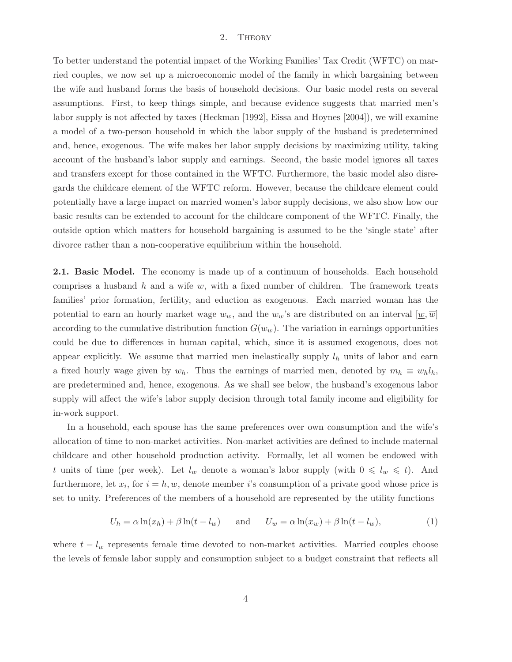#### 2. Theory

To better understand the potential impact of the Working Families' Tax Credit (WFTC) on married couples, we now set up a microeconomic model of the family in which bargaining between the wife and husband forms the basis of household decisions. Our basic model rests on several assumptions. First, to keep things simple, and because evidence suggests that married men's labor supply is not affected by taxes (Heckman [1992], Eissa and Hoynes [2004]), we will examine a model of a two-person household in which the labor supply of the husband is predetermined and, hence, exogenous. The wife makes her labor supply decisions by maximizing utility, taking account of the husband's labor supply and earnings. Second, the basic model ignores all taxes and transfers except for those contained in the WFTC. Furthermore, the basic model also disregards the childcare element of the WFTC reform. However, because the childcare element could potentially have a large impact on married women's labor supply decisions, we also show how our basic results can be extended to account for the childcare component of the WFTC. Finally, the outside option which matters for household bargaining is assumed to be the 'single state' after divorce rather than a non-cooperative equilibrium within the household.

2.1. Basic Model. The economy is made up of a continuum of households. Each household comprises a husband  $h$  and a wife  $w$ , with a fixed number of children. The framework treats families' prior formation, fertility, and eduction as exogenous. Each married woman has the potential to earn an hourly market wage  $w_w$ , and the  $w_w$ 's are distributed on an interval  $[\underline{w}, \overline{w}]$ according to the cumulative distribution function  $G(w_w)$ . The variation in earnings opportunities could be due to differences in human capital, which, since it is assumed exogenous, does not appear explicitly. We assume that married men inelastically supply  $l_h$  units of labor and earn a fixed hourly wage given by  $w_h$ . Thus the earnings of married men, denoted by  $m_h \equiv w_h l_h$ , are predetermined and, hence, exogenous. As we shall see below, the husband's exogenous labor supply will affect the wife's labor supply decision through total family income and eligibility for in-work support.

In a household, each spouse has the same preferences over own consumption and the wife's allocation of time to non-market activities. Non-market activities are defined to include maternal childcare and other household production activity. Formally, let all women be endowed with t units of time (per week). Let  $l_w$  denote a woman's labor supply (with  $0 \leq l_w \leq t$ ). And furthermore, let  $x_i$ , for  $i = h, w$ , denote member *i*'s consumption of a private good whose price is set to unity. Preferences of the members of a household are represented by the utility functions

$$
U_h = \alpha \ln(x_h) + \beta \ln(t - l_w) \quad \text{and} \quad U_w = \alpha \ln(x_w) + \beta \ln(t - l_w), \tag{1}
$$

where  $t - l_w$  represents female time devoted to non-market activities. Married couples choose the levels of female labor supply and consumption subject to a budget constraint that reflects all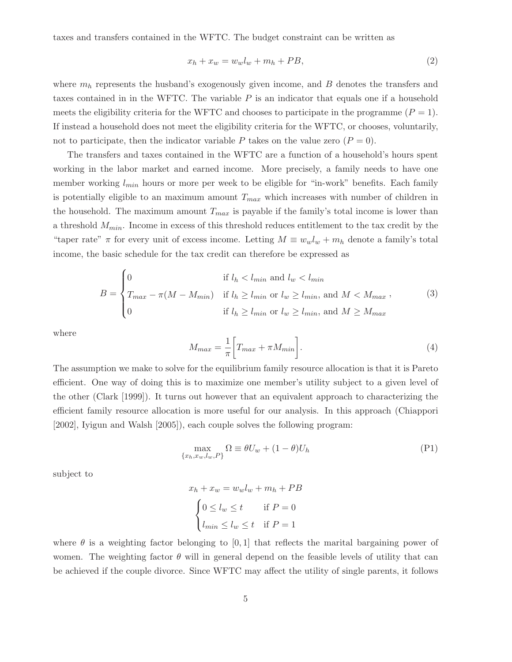taxes and transfers contained in the WFTC. The budget constraint can be written as

$$
x_h + x_w = w_w l_w + m_h + PB,\tag{2}
$$

where  $m_h$  represents the husband's exogenously given income, and  $B$  denotes the transfers and taxes contained in in the WFTC. The variable  $P$  is an indicator that equals one if a household meets the eligibility criteria for the WFTC and chooses to participate in the programme  $(P = 1)$ . If instead a household does not meet the eligibility criteria for the WFTC, or chooses, voluntarily, not to participate, then the indicator variable P takes on the value zero  $(P = 0)$ .

The transfers and taxes contained in the WFTC are a function of a household's hours spent working in the labor market and earned income. More precisely, a family needs to have one member working  $l_{min}$  hours or more per week to be eligible for "in-work" benefits. Each family is potentially eligible to an maximum amount  $T_{max}$  which increases with number of children in the household. The maximum amount  $T_{max}$  is payable if the family's total income is lower than a threshold  $M_{min}$ . Income in excess of this threshold reduces entitlement to the tax credit by the "taper rate"  $\pi$  for every unit of excess income. Letting  $M \equiv w_w l_w + m_h$  denote a family's total income, the basic schedule for the tax credit can therefore be expressed as

$$
B = \begin{cases} 0 & \text{if } l_h < l_{min} \text{ and } l_w < l_{min} \\ T_{max} - \pi(M - M_{min}) & \text{if } l_h \ge l_{min} \text{ or } l_w \ge l_{min}, \text{ and } M < M_{max} \end{cases}, \tag{3}
$$

$$
0 & \text{if } l_h \ge l_{min} \text{ or } l_w \ge l_{min}, \text{ and } M \ge M_{max}
$$

where

$$
M_{max} = \frac{1}{\pi} \left[ T_{max} + \pi M_{min} \right]. \tag{4}
$$

The assumption we make to solve for the equilibrium family resource allocation is that it is Pareto efficient. One way of doing this is to maximize one member's utility subject to a given level of the other (Clark [1999]). It turns out however that an equivalent approach to characterizing the efficient family resource allocation is more useful for our analysis. In this approach (Chiappori [2002], Iyigun and Walsh [2005]), each couple solves the following program:

$$
\max_{\{x_h, x_w, l_w, P\}} \Omega \equiv \theta U_w + (1 - \theta) U_h \tag{P1}
$$

subject to

$$
x_h + x_w = w_w l_w + m_h + PB
$$

$$
\begin{cases} 0 \le l_w \le t & \text{if } P = 0\\ l_{min} \le l_w \le t & \text{if } P = 1 \end{cases}
$$

where  $\theta$  is a weighting factor belonging to [0,1] that reflects the marital bargaining power of women. The weighting factor  $\theta$  will in general depend on the feasible levels of utility that can be achieved if the couple divorce. Since WFTC may affect the utility of single parents, it follows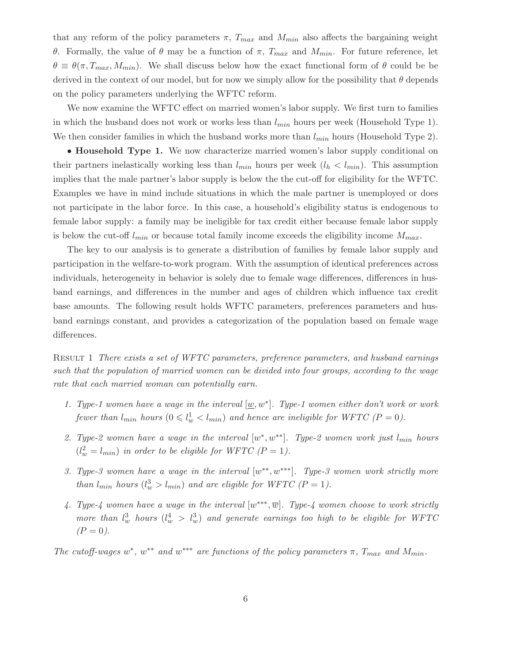that any reform of the policy parameters  $\pi$ ,  $T_{max}$  and  $M_{min}$  also affects the bargaining weight θ. Formally, the value of θ may be a function of π,  $T_{max}$  and  $M_{min}$ . For future reference, let  $\theta \equiv \theta(\pi, T_{max}, M_{min})$ . We shall discuss below how the exact functional form of  $\theta$  could be be derived in the context of our model, but for now we simply allow for the possibility that  $\theta$  depends on the policy parameters underlying the WFTC reform.

We now examine the WFTC effect on married women's labor supply. We first turn to families in which the husband does not work or works less than  $l_{min}$  hours per week (Household Type 1). We then consider families in which the husband works more than  $l_{min}$  hours (Household Type 2).

• Household Type 1. We now characterize married women's labor supply conditional on their partners inelastically working less than  $l_{min}$  hours per week  $(l_h < l_{min})$ . This assumption implies that the male partner's labor supply is below the the cut-off for eligibility for the WFTC. Examples we have in mind include situations in which the male partner is unemployed or does not participate in the labor force. In this case, a household's eligibility status is endogenous to female labor supply: a family may be ineligible for tax credit either because female labor supply is below the cut-off  $l_{min}$  or because total family income exceeds the eligibility income  $M_{max}$ .

The key to our analysis is to generate a distribution of families by female labor supply and participation in the welfare-to-work program. With the assumption of identical preferences across individuals, heterogeneity in behavior is solely due to female wage differences, differences in husband earnings, and differences in the number and ages of children which influence tax credit base amounts. The following result holds WFTC parameters, preferences parameters and husband earnings constant, and provides a categorization of the population based on female wage differences.

Result 1 There exists a set of WFTC parameters, preference parameters, and husband earnings such that the population of married women can be divided into four groups, according to the wage rate that each married woman can potentially earn.

- 1. Type-1 women have a wage in the interval  $[\underline{w}, w^*]$ . Type-1 women either don't work or work fewer than  $l_{min}$  hours  $(0 \le l_w^1 < l_{min})$  and hence are ineligible for WFTC  $(P = 0)$ .
- 2. Type-2 women have a wage in the interval  $[w^*, w^{**}]$ . Type-2 women work just  $l_{min}$  hours  $(l_w^2 = l_{min})$  in order to be eligible for WFTC  $(P = 1)$ .
- 3. Type-3 women have a wage in the interval  $[w^{**}, w^{***}]$ . Type-3 women work strictly more than  $l_{min}$  hours  $(l_w^3 > l_{min})$  and are eligible for WFTC  $(P = 1)$ .
- 4. Type-4 women have a wage in the interval  $[w^{***}, \overline{w}]$ . Type-4 women choose to work strictly more than  $l_w^3$  hours  $(l_w^4 > l_w^3)$  and generate earnings too high to be eligible for WFTC  $(P = 0)$ .

The cutoff-wages  $w^*$ ,  $w^{**}$  and  $w^{***}$  are functions of the policy parameters  $\pi$ ,  $T_{max}$  and  $M_{min}$ .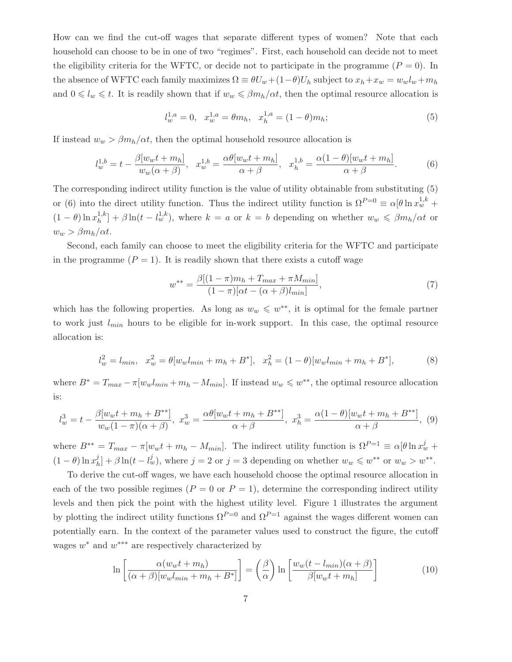How can we find the cut-off wages that separate different types of women? Note that each household can choose to be in one of two "regimes". First, each household can decide not to meet the eligibility criteria for the WFTC, or decide not to participate in the programme  $(P = 0)$ . In the absence of WFTC each family maximizes  $\Omega \equiv \theta U_w + (1-\theta)U_h$  subject to  $x_h + x_w = w_w l_w + m_h$ and  $0 \leq l_w \leq t$ . It is readily shown that if  $w_w \leq \beta m_h/\alpha t$ , then the optimal resource allocation is

$$
l_w^{1,a} = 0, \quad x_w^{1,a} = \theta m_h, \quad x_h^{1,a} = (1 - \theta)m_h; \tag{5}
$$

If instead  $w_w > \beta m_h/\alpha t$ , then the optimal household resource allocation is

$$
l_w^{1,b} = t - \frac{\beta[w_w t + m_h]}{w_w(\alpha + \beta)}, \quad x_w^{1,b} = \frac{\alpha \theta[w_w t + m_h]}{\alpha + \beta}, \quad x_h^{1,b} = \frac{\alpha (1 - \theta)[w_w t + m_h]}{\alpha + \beta}.
$$
 (6)

The corresponding indirect utility function is the value of utility obtainable from substituting (5) or (6) into the direct utility function. Thus the indirect utility function is  $\Omega^{P=0} \equiv \alpha [\theta \ln x_w^{1,k} +$  $(1-\theta)\ln x_h^{1,k}$  $\int_h^{1,k}$  +  $\beta \ln(t - l_w^{1,k})$ , where  $k = a$  or  $k = b$  depending on whether  $w_w \leq \beta m_h/\alpha t$  or  $w_w > \beta m_h/\alpha t$ .

Second, each family can choose to meet the eligibility criteria for the WFTC and participate in the programme  $(P = 1)$ . It is readily shown that there exists a cutoff wage

$$
w^{**} = \frac{\beta[(1-\pi)m_h + T_{max} + \pi M_{min}]}{(1-\pi)[\alpha t - (\alpha + \beta)l_{min}]},\tag{7}
$$

which has the following properties. As long as  $w_w \leq w^{**}$ , it is optimal for the female partner to work just  $l_{min}$  hours to be eligible for in-work support. In this case, the optimal resource allocation is:

$$
l_w^2 = l_{min}, \quad x_w^2 = \theta[w_w l_{min} + m_h + B^*], \quad x_h^2 = (1 - \theta)[w_w l_{min} + m_h + B^*],\tag{8}
$$

where  $B^* = T_{max} - \pi[w_w l_{min} + m_h - M_{min}]$ . If instead  $w_w \leq w^{**}$ , the optimal resource allocation is:

$$
l_w^3 = t - \frac{\beta[w_w t + m_h + B^{**}]}{w_w (1 - \pi)(\alpha + \beta)}, \ x_w^3 = \frac{\alpha \theta[w_w t + m_h + B^{**}]}{\alpha + \beta}, \ x_h^3 = \frac{\alpha(1 - \theta)[w_w t + m_h + B^{**}]}{\alpha + \beta}, \ (9)
$$

where  $B^{**} = T_{max} - \pi[w_{w}t + m_{h} - M_{min}]$ . The indirect utility function is  $\Omega^{P=1} \equiv \alpha[\theta \ln x_{w}^{j} +$  $(1 - \theta) \ln x_h^j$  $\int_{h}^{j}$  +  $\beta \ln(t - l_w^j)$ , where  $j = 2$  or  $j = 3$  depending on whether  $w_w \leq w^{**}$  or  $w_w > w^{**}$ .

To derive the cut-off wages, we have each household choose the optimal resource allocation in each of the two possible regimes  $(P = 0 \text{ or } P = 1)$ , determine the corresponding indirect utility levels and then pick the point with the highest utility level. Figure 1 illustrates the argument by plotting the indirect utility functions  $\Omega^{P=0}$  and  $\Omega^{P=1}$  against the wages different women can potentially earn. In the context of the parameter values used to construct the figure, the cutoff wages  $w^*$  and  $w^{***}$  are respectively characterized by

$$
\ln\left[\frac{\alpha(w_w t + m_h)}{(\alpha + \beta)[w_w l_{min} + m_h + B^*]}\right] = \left(\frac{\beta}{\alpha}\right) \ln\left[\frac{w_w (t - l_{min})(\alpha + \beta)}{\beta[w_w t + m_h]}\right] \tag{10}
$$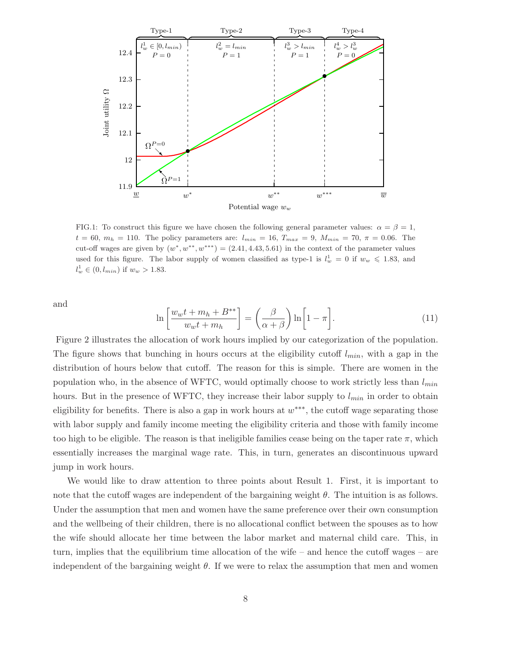

FIG.1: To construct this figure we have chosen the following general parameter values:  $\alpha = \beta = 1$ ,  $t = 60, m_h = 110$ . The policy parameters are:  $l_{min} = 16, T_{max} = 9, M_{min} = 70, \pi = 0.06$ . The cut-off wages are given by  $(w^*, w^{**}, w^{***}) = (2.41, 4.43, 5.61)$  in the context of the parameter values used for this figure. The labor supply of women classified as type-1 is  $l_w^1 = 0$  if  $w_w \le 1.83$ , and  $l_w^1 \in (0, l_{min})$  if  $w_w > 1.83$ .

and

$$
\ln\left[\frac{w_{w}t + m_{h} + B^{**}}{w_{w}t + m_{h}}\right] = \left(\frac{\beta}{\alpha + \beta}\right)\ln\left[1 - \pi\right].
$$
\n(11)

Figure 2 illustrates the allocation of work hours implied by our categorization of the population. The figure shows that bunching in hours occurs at the eligibility cutoff  $l_{min}$ , with a gap in the distribution of hours below that cutoff. The reason for this is simple. There are women in the population who, in the absence of WFTC, would optimally choose to work strictly less than  $l_{min}$ hours. But in the presence of WFTC, they increase their labor supply to  $l_{min}$  in order to obtain eligibility for benefits. There is also a gap in work hours at  $w^{***}$ , the cutoff wage separating those with labor supply and family income meeting the eligibility criteria and those with family income too high to be eligible. The reason is that ineligible families cease being on the taper rate  $\pi$ , which essentially increases the marginal wage rate. This, in turn, generates an discontinuous upward jump in work hours.

We would like to draw attention to three points about Result 1. First, it is important to note that the cutoff wages are independent of the bargaining weight  $\theta$ . The intuition is as follows. Under the assumption that men and women have the same preference over their own consumption and the wellbeing of their children, there is no allocational conflict between the spouses as to how the wife should allocate her time between the labor market and maternal child care. This, in turn, implies that the equilibrium time allocation of the wife – and hence the cutoff wages – are independent of the bargaining weight  $\theta$ . If we were to relax the assumption that men and women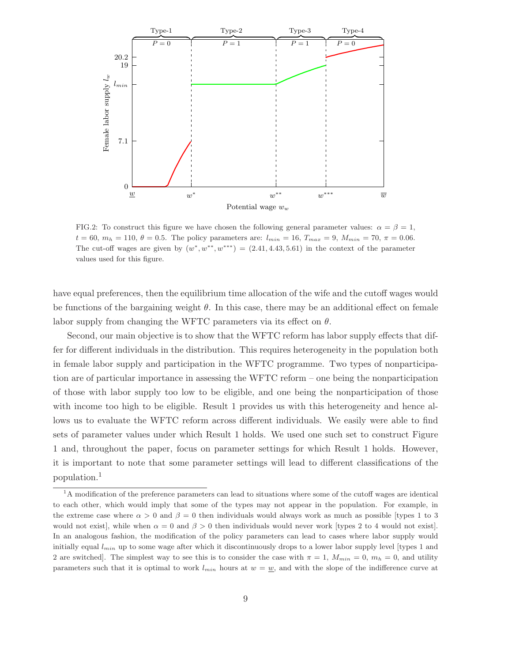

FIG.2: To construct this figure we have chosen the following general parameter values:  $\alpha = \beta = 1$ ,  $t = 60$ ,  $m_h = 110$ ,  $\theta = 0.5$ . The policy parameters are:  $l_{min} = 16$ ,  $T_{max} = 9$ ,  $M_{min} = 70$ ,  $\pi = 0.06$ . The cut-off wages are given by  $(w^*, w^{**}, w^{***}) = (2.41, 4.43, 5.61)$  in the context of the parameter values used for this figure.

have equal preferences, then the equilibrium time allocation of the wife and the cutoff wages would be functions of the bargaining weight  $\theta$ . In this case, there may be an additional effect on female labor supply from changing the WFTC parameters via its effect on  $\theta$ .

Second, our main objective is to show that the WFTC reform has labor supply effects that differ for different individuals in the distribution. This requires heterogeneity in the population both in female labor supply and participation in the WFTC programme. Two types of nonparticipation are of particular importance in assessing the WFTC reform – one being the nonparticipation of those with labor supply too low to be eligible, and one being the nonparticipation of those with income too high to be eligible. Result 1 provides us with this heterogeneity and hence allows us to evaluate the WFTC reform across different individuals. We easily were able to find sets of parameter values under which Result 1 holds. We used one such set to construct Figure 1 and, throughout the paper, focus on parameter settings for which Result 1 holds. However, it is important to note that some parameter settings will lead to different classifications of the population.<sup>1</sup>

<sup>&</sup>lt;sup>1</sup>A modification of the preference parameters can lead to situations where some of the cutoff wages are identical to each other, which would imply that some of the types may not appear in the population. For example, in the extreme case where  $\alpha > 0$  and  $\beta = 0$  then individuals would always work as much as possible [types 1 to 3 would not exist, while when  $\alpha = 0$  and  $\beta > 0$  then individuals would never work [types 2 to 4 would not exist]. In an analogous fashion, the modification of the policy parameters can lead to cases where labor supply would initially equal  $l_{min}$  up to some wage after which it discontinuously drops to a lower labor supply level [types 1 and 2 are switched. The simplest way to see this is to consider the case with  $\pi = 1$ ,  $M_{min} = 0$ ,  $m_h = 0$ , and utility parameters such that it is optimal to work  $l_{min}$  hours at  $w = w$ , and with the slope of the indifference curve at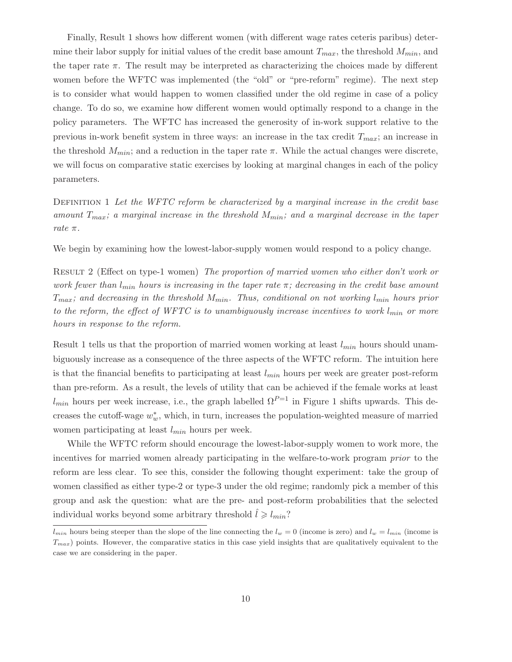Finally, Result 1 shows how different women (with different wage rates ceteris paribus) determine their labor supply for initial values of the credit base amount  $T_{max}$ , the threshold  $M_{min}$ , and the taper rate  $\pi$ . The result may be interpreted as characterizing the choices made by different women before the WFTC was implemented (the "old" or "pre-reform" regime). The next step is to consider what would happen to women classified under the old regime in case of a policy change. To do so, we examine how different women would optimally respond to a change in the policy parameters. The WFTC has increased the generosity of in-work support relative to the previous in-work benefit system in three ways: an increase in the tax credit  $T_{max}$ ; an increase in the threshold  $M_{min}$ ; and a reduction in the taper rate  $\pi$ . While the actual changes were discrete, we will focus on comparative static exercises by looking at marginal changes in each of the policy parameters.

DEFINITION 1 Let the WFTC reform be characterized by a marginal increase in the credit base amount  $T_{max}$ ; a marginal increase in the threshold  $M_{min}$ ; and a marginal decrease in the taper rate π.

We begin by examining how the lowest-labor-supply women would respond to a policy change.

Result 2 (Effect on type-1 women) The proportion of married women who either don't work or work fewer than  $l_{min}$  hours is increasing in the taper rate  $\pi$ ; decreasing in the credit base amount  $T_{max}$ ; and decreasing in the threshold  $M_{min}$ . Thus, conditional on not working  $l_{min}$  hours prior to the reform, the effect of WFTC is to unambiguously increase incentives to work  $l_{min}$  or more hours in response to the reform.

Result 1 tells us that the proportion of married women working at least  $l_{min}$  hours should unambiguously increase as a consequence of the three aspects of the WFTC reform. The intuition here is that the financial benefits to participating at least  $l_{min}$  hours per week are greater post-reform than pre-reform. As a result, the levels of utility that can be achieved if the female works at least  $l_{min}$  hours per week increase, i.e., the graph labelled  $\Omega^{P=1}$  in Figure 1 shifts upwards. This decreases the cutoff-wage  $w_w^*$ , which, in turn, increases the population-weighted measure of married women participating at least  $l_{min}$  hours per week.

While the WFTC reform should encourage the lowest-labor-supply women to work more, the incentives for married women already participating in the welfare-to-work program *prior* to the reform are less clear. To see this, consider the following thought experiment: take the group of women classified as either type-2 or type-3 under the old regime; randomly pick a member of this group and ask the question: what are the pre- and post-reform probabilities that the selected individual works beyond some arbitrary threshold  $l \geq l_{min}$ ?

 $l_{min}$  hours being steeper than the slope of the line connecting the  $l_w = 0$  (income is zero) and  $l_w = l_{min}$  (income is  $T_{max}$ ) points. However, the comparative statics in this case yield insights that are qualitatively equivalent to the case we are considering in the paper.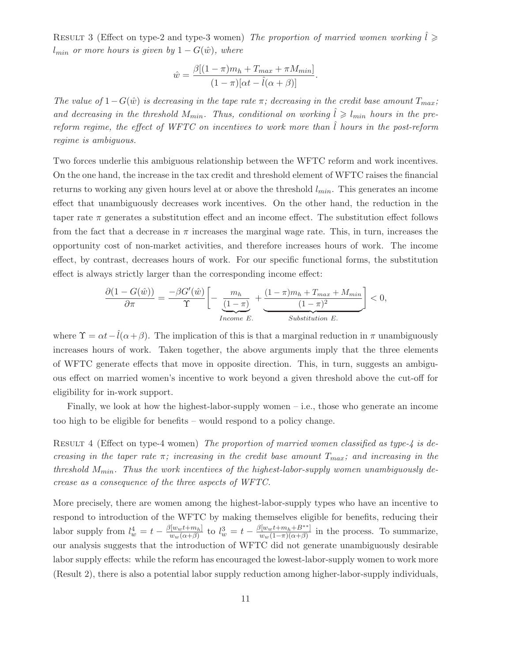RESULT 3 (Effect on type-2 and type-3 women) The proportion of married women working  $l \geqslant$  $l_{min}$  or more hours is given by  $1 - G(\hat{w})$ , where

$$
\hat{w} = \frac{\beta[(1-\pi)m_h + T_{max} + \pi M_{min}]}{(1-\pi)[\alpha t - \hat{l}(\alpha+\beta)]}.
$$

The value of  $1-G(\hat{w})$  is decreasing in the tape rate  $\pi$ ; decreasing in the credit base amount  $T_{max}$ ; and decreasing in the threshold  $M_{min}$ . Thus, conditional on working  $\hat{l} \geq l_{min}$  hours in the prereform regime, the effect of WFTC on incentives to work more than  $\tilde{l}$  hours in the post-reform regime is ambiguous.

Two forces underlie this ambiguous relationship between the WFTC reform and work incentives. On the one hand, the increase in the tax credit and threshold element of WFTC raises the financial returns to working any given hours level at or above the threshold  $l_{min}$ . This generates an income effect that unambiguously decreases work incentives. On the other hand, the reduction in the taper rate  $\pi$  generates a substitution effect and an income effect. The substitution effect follows from the fact that a decrease in  $\pi$  increases the marginal wage rate. This, in turn, increases the opportunity cost of non-market activities, and therefore increases hours of work. The income effect, by contrast, decreases hours of work. For our specific functional forms, the substitution effect is always strictly larger than the corresponding income effect:

$$
\frac{\partial (1 - G(\hat{w}))}{\partial \pi} = \frac{-\beta G'(\hat{w})}{\Upsilon} \left[ -\underbrace{\frac{m_h}{(1-\pi)}}_{\text{Income }E} + \underbrace{\frac{(1-\pi)m_h + T_{\text{max}} + M_{\text{min}}}{(1-\pi)^2}}_{\text{Substitution }E} \right] < 0,
$$

where  $\Upsilon = \alpha t - \hat{l}(\alpha + \beta)$ . The implication of this is that a marginal reduction in  $\pi$  unambiguously increases hours of work. Taken together, the above arguments imply that the three elements of WFTC generate effects that move in opposite direction. This, in turn, suggests an ambiguous effect on married women's incentive to work beyond a given threshold above the cut-off for eligibility for in-work support.

Finally, we look at how the highest-labor-supply women  $-$  i.e., those who generate an income too high to be eligible for benefits – would respond to a policy change.

RESULT 4 (Effect on type-4 women) The proportion of married women classified as type- $\frac{1}{4}$  is decreasing in the taper rate  $\pi$ ; increasing in the credit base amount  $T_{max}$ ; and increasing in the threshold  $M_{min}$ . Thus the work incentives of the highest-labor-supply women unambiguously decrease as a consequence of the three aspects of WFTC.

More precisely, there are women among the highest-labor-supply types who have an incentive to respond to introduction of the WFTC by making themselves eligible for benefits, reducing their labor supply from  $l_w^4 = t - \frac{\beta[w_w t + m_h]}{w_m(\alpha + \beta)}$  $\frac{d[w_w t + m_h]}{w_w (\alpha + \beta)}$  to  $l_w^3 = t - \frac{\beta[w_w t + m_h + B^{**}]}{w_w (1 - \pi)(\alpha + \beta)}$  $\frac{\left[\frac{w_w(t+m_h+\beta)}{w_w(1-\pi)(\alpha+\beta)}\right]}{w_w(t-\pi)(\alpha+\beta)}$  in the process. To summarize, our analysis suggests that the introduction of WFTC did not generate unambiguously desirable labor supply effects: while the reform has encouraged the lowest-labor-supply women to work more (Result 2), there is also a potential labor supply reduction among higher-labor-supply individuals,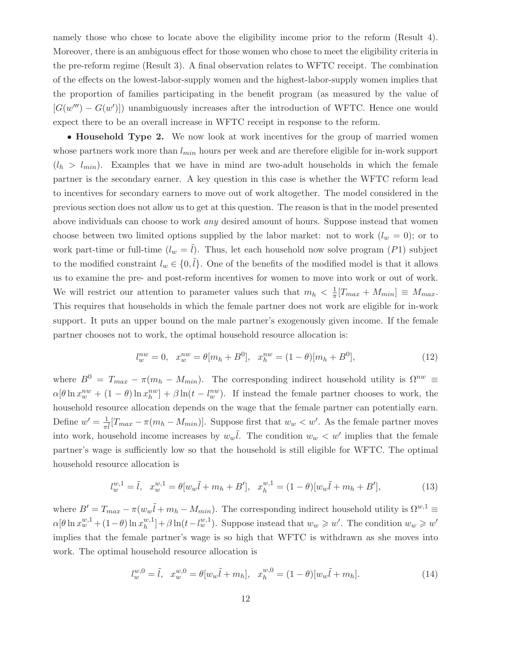namely those who chose to locate above the eligibility income prior to the reform (Result 4). Moreover, there is an ambiguous effect for those women who chose to meet the eligibility criteria in the pre-reform regime (Result 3). A final observation relates to WFTC receipt. The combination of the effects on the lowest-labor-supply women and the highest-labor-supply women implies that the proportion of families participating in the benefit program (as measured by the value of  $[G(w''') - G(w')]$  unambiguously increases after the introduction of WFTC. Hence one would expect there to be an overall increase in WFTC receipt in response to the reform.

• **Household Type 2.** We now look at work incentives for the group of married women whose partners work more than  $l_{min}$  hours per week and are therefore eligible for in-work support  $(l_h > l_{min})$ . Examples that we have in mind are two-adult households in which the female partner is the secondary earner. A key question in this case is whether the WFTC reform lead to incentives for secondary earners to move out of work altogether. The model considered in the previous section does not allow us to get at this question. The reason is that in the model presented above individuals can choose to work any desired amount of hours. Suppose instead that women choose between two limited options supplied by the labor market: not to work  $(l_w = 0)$ ; or to work part-time or full-time  $(l_w = \tilde{l})$ . Thus, let each household now solve program (P1) subject to the modified constraint  $l_w \in \{0, \tilde{l}\}.$  One of the benefits of the modified model is that it allows us to examine the pre- and post-reform incentives for women to move into work or out of work. We will restrict our attention to parameter values such that  $m_h < \frac{1}{\pi} [T_{max} + M_{min}] \equiv M_{max}$ . This requires that households in which the female partner does not work are eligible for in-work support. It puts an upper bound on the male partner's exogenously given income. If the female partner chooses not to work, the optimal household resource allocation is:

$$
l_w^{nw} = 0, \quad x_w^{nw} = \theta[m_h + B^0], \quad x_h^{nw} = (1 - \theta)[m_h + B^0], \tag{12}
$$

where  $B^0 = T_{max} - \pi (m_h - M_{min})$ . The corresponding indirect household utility is  $\Omega^{nw} \equiv$  $\alpha[\theta \ln x_w^{nw} + (1-\theta) \ln x_h^{nw}] + \beta \ln(t - l_w^{nw}).$  If instead the female partner chooses to work, the household resource allocation depends on the wage that the female partner can potentially earn. Define  $w' = \frac{1}{\pi l} [T_{max} - \pi (m_h - M_{min})]$ . Suppose first that  $w_w < w'$ . As the female partner moves into work, household income increases by  $w_w\tilde{l}$ . The condition  $w_w < w'$  implies that the female partner's wage is sufficiently low so that the household is still eligible for WFTC. The optimal household resource allocation is

$$
l_w^{w,1} = \tilde{l}, \quad x_w^{w,1} = \theta[w_w\tilde{l} + m_h + B'], \quad x_h^{w,1} = (1 - \theta)[w_w\tilde{l} + m_h + B'], \tag{13}
$$

where  $B' = T_{max} - \pi (w_w \tilde{l} + m_h - M_{min})$ . The corresponding indirect household utility is  $\Omega^{w,1} \equiv$  $\alpha[\theta\ln x_w^{w,1} + (1-\theta)\ln x_h^{w,1}]$  $\binom{w,1}{h} + \beta \ln(t - l_w^{w,1})$ . Suppose instead that  $w_w \geq w'$ . The condition  $w_w \geq w'$ implies that the female partner's wage is so high that WFTC is withdrawn as she moves into work. The optimal household resource allocation is

$$
l_w^{w,0} = \tilde{l}, \quad x_w^{w,0} = \theta[w_w\tilde{l} + m_h], \quad x_h^{w,0} = (1 - \theta)[w_w\tilde{l} + m_h].
$$
\n(14)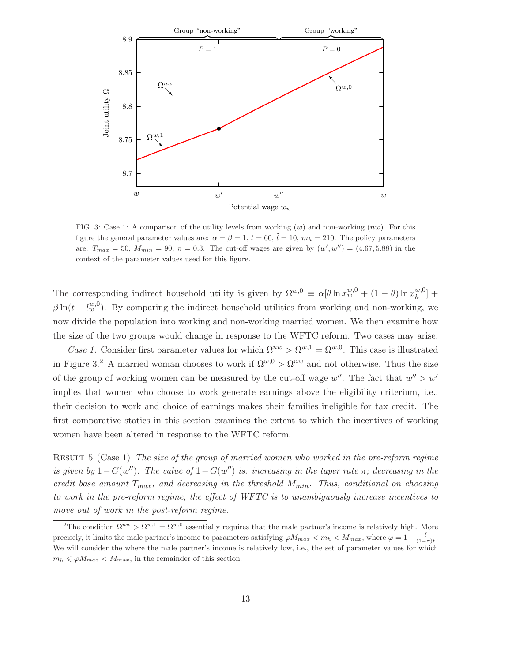

FIG. 3: Case 1: A comparison of the utility levels from working  $(w)$  and non-working  $(nw)$ . For this figure the general parameter values are:  $\alpha = \beta = 1$ ,  $t = 60$ ,  $l = 10$ ,  $m_h = 210$ . The policy parameters are:  $T_{max} = 50$ ,  $M_{min} = 90$ ,  $\pi = 0.3$ . The cut-off wages are given by  $(w', w'') = (4.67, 5.88)$  in the context of the parameter values used for this figure.

The corresponding indirect household utility is given by  $\Omega^{w,0} \equiv \alpha [\theta \ln x_w^{w,0} + (1-\theta) \ln x_h^{w,0}]$  $_{h}^{w,0}$  +  $\beta \ln(t - l_w^{w,0})$ . By comparing the indirect household utilities from working and non-working, we now divide the population into working and non-working married women. We then examine how the size of the two groups would change in response to the WFTC reform. Two cases may arise.

Case 1. Consider first parameter values for which  $\Omega^{nw} > \Omega^{w,1} = \Omega^{w,0}$ . This case is illustrated in Figure 3.<sup>2</sup> A married woman chooses to work if  $\Omega^{w,0} > \Omega^{nw}$  and not otherwise. Thus the size of the group of working women can be measured by the cut-off wage  $w''$ . The fact that  $w'' > w'$ implies that women who choose to work generate earnings above the eligibility criterium, i.e., their decision to work and choice of earnings makes their families ineligible for tax credit. The first comparative statics in this section examines the extent to which the incentives of working women have been altered in response to the WFTC reform.

Result 5 (Case 1) The size of the group of married women who worked in the pre-reform regime is given by  $1-G(w'')$ . The value of  $1-G(w'')$  is: increasing in the taper rate  $\pi$ ; decreasing in the credit base amount  $T_{max}$ ; and decreasing in the threshold  $M_{min}$ . Thus, conditional on choosing to work in the pre-reform regime, the effect of WFTC is to unambiguously increase incentives to move out of work in the post-reform regime.

<sup>&</sup>lt;sup>2</sup>The condition  $\Omega^{nw} > \Omega^{w,1} = \Omega^{w,0}$  essentially requires that the male partner's income is relatively high. More precisely, it limits the male partner's income to parameters satisfying  $\varphi M_{max} < m_h < M_{max}$ , where  $\varphi = 1 - \frac{\tilde{l}}{(1-\pi)t}$ . We will consider the where the male partner's income is relatively low, i.e., the set of parameter values for which  $m_h \leq \varphi M_{max} < M_{max}$ , in the remainder of this section.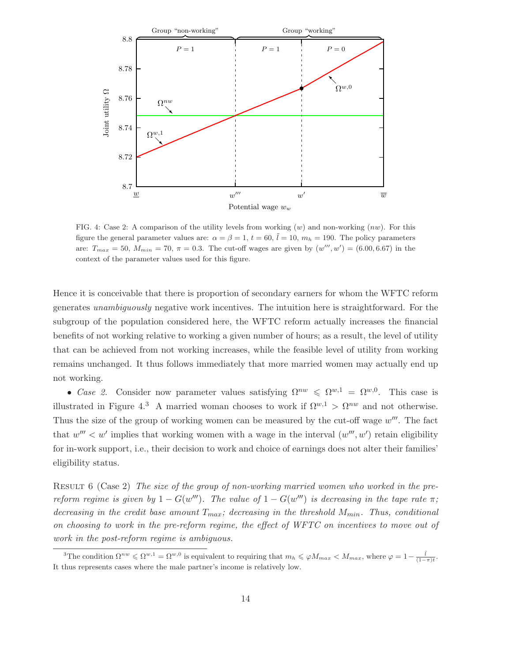

FIG. 4: Case 2: A comparison of the utility levels from working  $(w)$  and non-working  $(nw)$ . For this figure the general parameter values are:  $\alpha = \beta = 1$ ,  $t = 60$ ,  $l = 10$ ,  $m_h = 190$ . The policy parameters are:  $T_{max} = 50$ ,  $M_{min} = 70$ ,  $\pi = 0.3$ . The cut-off wages are given by  $(w''', w') = (6.00, 6.67)$  in the context of the parameter values used for this figure.

Hence it is conceivable that there is proportion of secondary earners for whom the WFTC reform generates unambiguously negative work incentives. The intuition here is straightforward. For the subgroup of the population considered here, the WFTC reform actually increases the financial benefits of not working relative to working a given number of hours; as a result, the level of utility that can be achieved from not working increases, while the feasible level of utility from working remains unchanged. It thus follows immediately that more married women may actually end up not working.

• Case 2. Consider now parameter values satisfying  $\Omega^{nw} \leq \Omega^{w,1} = \Omega^{w,0}$ . This case is illustrated in Figure 4.<sup>3</sup> A married woman chooses to work if  $\Omega^{w,1} > \Omega^{nw}$  and not otherwise. Thus the size of the group of working women can be measured by the cut-off wage  $w'''$ . The fact that  $w''' < w'$  implies that working women with a wage in the interval  $(w''', w')$  retain eligibility for in-work support, i.e., their decision to work and choice of earnings does not alter their families' eligibility status.

RESULT 6 (Case 2) The size of the group of non-working married women who worked in the prereform regime is given by  $1 - G(w''')$ . The value of  $1 - G(w''')$  is decreasing in the tape rate  $\pi$ ; decreasing in the credit base amount  $T_{max}$ ; decreasing in the threshold  $M_{min}$ . Thus, conditional on choosing to work in the pre-reform regime, the effect of WFTC on incentives to move out of work in the post-reform regime is ambiguous.

<sup>&</sup>lt;sup>3</sup>The condition  $\Omega^{nw} \leq \Omega^{w,1} = \Omega^{w,0}$  is equivalent to requiring that  $m_h \leq \varphi M_{max} < M_{max}$ , where  $\varphi = 1 - \frac{\tilde{l}}{(1-\pi)t}$ . It thus represents cases where the male partner's income is relatively low.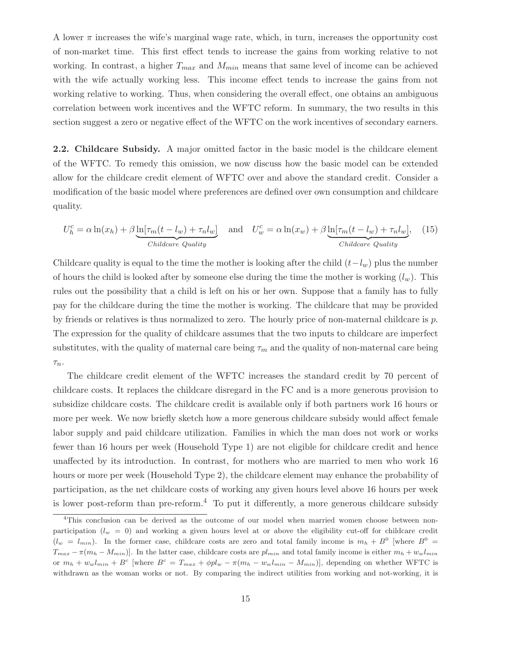A lower  $\pi$  increases the wife's marginal wage rate, which, in turn, increases the opportunity cost of non-market time. This first effect tends to increase the gains from working relative to not working. In contrast, a higher  $T_{max}$  and  $M_{min}$  means that same level of income can be achieved with the wife actually working less. This income effect tends to increase the gains from not working relative to working. Thus, when considering the overall effect, one obtains an ambiguous correlation between work incentives and the WFTC reform. In summary, the two results in this section suggest a zero or negative effect of the WFTC on the work incentives of secondary earners.

2.2. Childcare Subsidy. A major omitted factor in the basic model is the childcare element of the WFTC. To remedy this omission, we now discuss how the basic model can be extended allow for the childcare credit element of WFTC over and above the standard credit. Consider a modification of the basic model where preferences are defined over own consumption and childcare quality.

$$
U_h^c = \alpha \ln(x_h) + \beta \underbrace{\ln[\tau_m(t - l_w) + \tau_n l_w]}_{\text{Children } e \text{ Quality}} \quad \text{and} \quad U_w^c = \alpha \ln(x_w) + \beta \underbrace{\ln[\tau_m(t - l_w) + \tau_n l_w]}_{\text{Children } e \text{ Quality}}.
$$
 (15)

Childcare quality is equal to the time the mother is looking after the child  $(t-l_w)$  plus the number of hours the child is looked after by someone else during the time the mother is working  $(l_w)$ . This rules out the possibility that a child is left on his or her own. Suppose that a family has to fully pay for the childcare during the time the mother is working. The childcare that may be provided by friends or relatives is thus normalized to zero. The hourly price of non-maternal childcare is  $p$ . The expression for the quality of childcare assumes that the two inputs to childcare are imperfect substitutes, with the quality of maternal care being  $\tau_m$  and the quality of non-maternal care being  $\tau_n$ .

The childcare credit element of the WFTC increases the standard credit by 70 percent of childcare costs. It replaces the childcare disregard in the FC and is a more generous provision to subsidize childcare costs. The childcare credit is available only if both partners work 16 hours or more per week. We now briefly sketch how a more generous childcare subsidy would affect female labor supply and paid childcare utilization. Families in which the man does not work or works fewer than 16 hours per week (Household Type 1) are not eligible for childcare credit and hence unaffected by its introduction. In contrast, for mothers who are married to men who work 16 hours or more per week (Household Type 2), the childcare element may enhance the probability of participation, as the net childcare costs of working any given hours level above 16 hours per week is lower post-reform than pre-reform.<sup>4</sup> To put it differently, a more generous childcare subsidy

<sup>4</sup>This conclusion can be derived as the outcome of our model when married women choose between nonparticipation  $(l_w = 0)$  and working a given hours level at or above the eligibility cut-off for childcare credit  $(l_w = l_{min})$ . In the former case, childcare costs are zero and total family income is  $m_h + B^0$  [where  $B^0$  =  $T_{max} - \pi(m_h - M_{min})$ . In the latter case, childcare costs are  $pl_{min}$  and total family income is either  $m_h + w_w l_{min}$ or  $m_h + w_w l_{min} + B^c$  where  $B^c = T_{max} + \phi p l_w - \pi (m_h - w_w l_{min} - M_{min})$ , depending on whether WFTC is withdrawn as the woman works or not. By comparing the indirect utilities from working and not-working, it is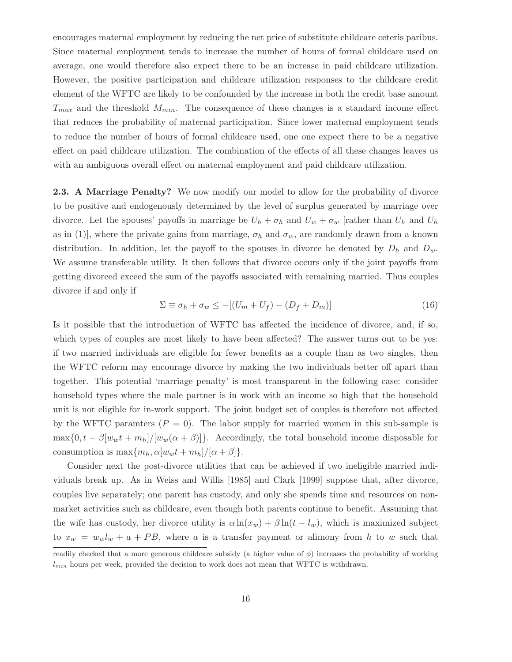encourages maternal employment by reducing the net price of substitute childcare ceteris paribus. Since maternal employment tends to increase the number of hours of formal childcare used on average, one would therefore also expect there to be an increase in paid childcare utilization. However, the positive participation and childcare utilization responses to the childcare credit element of the WFTC are likely to be confounded by the increase in both the credit base amount  $T_{max}$  and the threshold  $M_{min}$ . The consequence of these changes is a standard income effect that reduces the probability of maternal participation. Since lower maternal employment tends to reduce the number of hours of formal childcare used, one one expect there to be a negative effect on paid childcare utilization. The combination of the effects of all these changes leaves us with an ambiguous overall effect on maternal employment and paid childcare utilization.

2.3. A Marriage Penalty? We now modify our model to allow for the probability of divorce to be positive and endogenously determined by the level of surplus generated by marriage over divorce. Let the spouses' payoffs in marriage be  $U_h + \sigma_h$  and  $U_w + \sigma_w$  [rather than  $U_h$  and  $U_h$ as in (1)], where the private gains from marriage,  $\sigma_h$  and  $\sigma_w$ , are randomly drawn from a known distribution. In addition, let the payoff to the spouses in divorce be denoted by  $D_h$  and  $D_w$ . We assume transferable utility. It then follows that divorce occurs only if the joint payoffs from getting divorced exceed the sum of the payoffs associated with remaining married. Thus couples divorce if and only if

$$
\Sigma \equiv \sigma_h + \sigma_w \le -[(U_m + U_f) - (D_f + D_m)] \tag{16}
$$

Is it possible that the introduction of WFTC has affected the incidence of divorce, and, if so, which types of couples are most likely to have been affected? The answer turns out to be yes: if two married individuals are eligible for fewer benefits as a couple than as two singles, then the WFTC reform may encourage divorce by making the two individuals better off apart than together. This potential 'marriage penalty' is most transparent in the following case: consider household types where the male partner is in work with an income so high that the household unit is not eligible for in-work support. The joint budget set of couples is therefore not affected by the WFTC paramters  $(P = 0)$ . The labor supply for married women in this sub-sample is  $\max\{0, t - \beta[w_w t + m_h]/[w_w(\alpha + \beta)]\}.$  Accordingly, the total household income disposable for consumption is  $\max\{m_h, \alpha[w_w t + m_h]/[\alpha + \beta]\}.$ 

Consider next the post-divorce utilities that can be achieved if two ineligible married individuals break up. As in Weiss and Willis [1985] and Clark [1999] suppose that, after divorce, couples live separately; one parent has custody, and only she spends time and resources on nonmarket activities such as childcare, even though both parents continue to benefit. Assuming that the wife has custody, her divorce utility is  $\alpha \ln(x_w) + \beta \ln(t - l_w)$ , which is maximized subject to  $x_w = w_w l_w + a + PB$ , where a is a transfer payment or alimony from h to w such that

readily checked that a more generous childcare subsidy (a higher value of  $\phi$ ) increases the probability of working  $l_{min}$  hours per week, provided the decision to work does not mean that WFTC is withdrawn.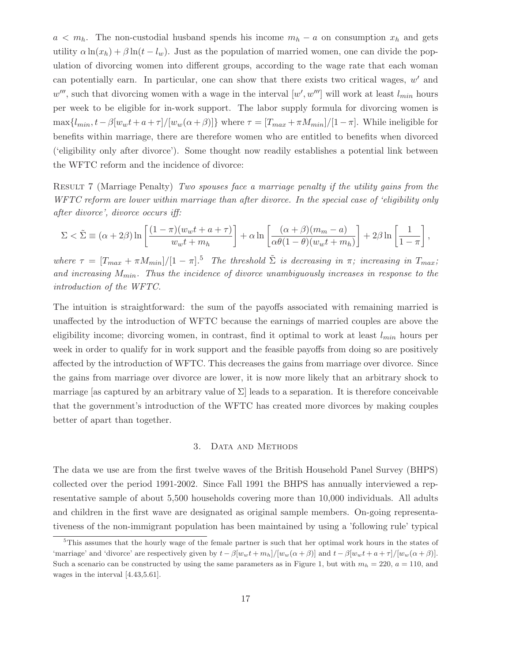$a < m_h$ . The non-custodial husband spends his income  $m_h - a$  on consumption  $x_h$  and gets utility  $\alpha \ln(x_h) + \beta \ln(t - l_w)$ . Just as the population of married women, one can divide the population of divorcing women into different groups, according to the wage rate that each woman can potentially earn. In particular, one can show that there exists two critical wages,  $w'$  and  $w'''$ , such that divorcing women with a wage in the interval  $[w', w''']$  will work at least  $l_{min}$  hours per week to be eligible for in-work support. The labor supply formula for divorcing women is  $\max\{l_{min}, t-\beta[w_wt+a+\tau]/[w_w(\alpha+\beta)]\}$  where  $\tau = [T_{max}+\pi M_{min}]/[1-\pi]$ . While ineligible for benefits within marriage, there are therefore women who are entitled to benefits when divorced ('eligibility only after divorce'). Some thought now readily establishes a potential link between the WFTC reform and the incidence of divorce:

RESULT 7 (Marriage Penalty) Two spouses face a marriage penalty if the utility gains from the WFTC reform are lower within marriage than after divorce. In the special case of 'eligibility only after divorce', divorce occurs iff:

$$
\Sigma < \tilde{\Sigma} \equiv (\alpha + 2\beta) \ln \left[ \frac{(1 - \pi)(w_w t + a + \tau)}{w_w t + m_h} \right] + \alpha \ln \left[ \frac{(\alpha + \beta)(m_m - a)}{\alpha \theta (1 - \theta)(w_w t + m_h)} \right] + 2\beta \ln \left[ \frac{1}{1 - \pi} \right],
$$

where  $\tau = [T_{max} + \pi M_{min}]/[1 - \pi]$ .<sup>5</sup> The threshold  $\tilde{\Sigma}$  is decreasing in  $\pi$ ; increasing in  $T_{max}$ ; and increasing  $M_{min}$ . Thus the incidence of divorce unambiguously increases in response to the introduction of the WFTC.

The intuition is straightforward: the sum of the payoffs associated with remaining married is unaffected by the introduction of WFTC because the earnings of married couples are above the eligibility income; divorcing women, in contrast, find it optimal to work at least  $l_{min}$  hours per week in order to qualify for in work support and the feasible payoffs from doing so are positively affected by the introduction of WFTC. This decreases the gains from marriage over divorce. Since the gains from marriage over divorce are lower, it is now more likely that an arbitrary shock to marriage [as captured by an arbitrary value of  $\Sigma$ ] leads to a separation. It is therefore conceivable that the government's introduction of the WFTC has created more divorces by making couples better of apart than together.

### 3. DATA AND METHODS

The data we use are from the first twelve waves of the British Household Panel Survey (BHPS) collected over the period 1991-2002. Since Fall 1991 the BHPS has annually interviewed a representative sample of about 5,500 households covering more than 10,000 individuals. All adults and children in the first wave are designated as original sample members. On-going representativeness of the non-immigrant population has been maintained by using a 'following rule' typical

<sup>&</sup>lt;sup>5</sup>This assumes that the hourly wage of the female partner is such that her optimal work hours in the states of 'marriage' and 'divorce' are respectively given by  $t - \beta[w_w t + m_h]/[w_w(\alpha + \beta)]$  and  $t - \beta[w_w t + a + \tau]/[w_w(\alpha + \beta)]$ . Such a scenario can be constructed by using the same parameters as in Figure 1, but with  $m_h = 220$ ,  $a = 110$ , and wages in the interval [4.43,5.61].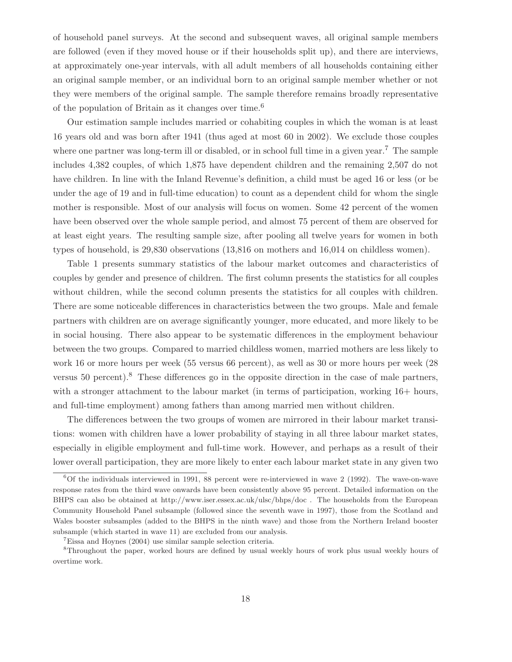of household panel surveys. At the second and subsequent waves, all original sample members are followed (even if they moved house or if their households split up), and there are interviews, at approximately one-year intervals, with all adult members of all households containing either an original sample member, or an individual born to an original sample member whether or not they were members of the original sample. The sample therefore remains broadly representative of the population of Britain as it changes over time.<sup>6</sup>

Our estimation sample includes married or cohabiting couples in which the woman is at least 16 years old and was born after 1941 (thus aged at most 60 in 2002). We exclude those couples where one partner was long-term ill or disabled, or in school full time in a given year.<sup>7</sup> The sample includes 4,382 couples, of which 1,875 have dependent children and the remaining 2,507 do not have children. In line with the Inland Revenue's definition, a child must be aged 16 or less (or be under the age of 19 and in full-time education) to count as a dependent child for whom the single mother is responsible. Most of our analysis will focus on women. Some 42 percent of the women have been observed over the whole sample period, and almost 75 percent of them are observed for at least eight years. The resulting sample size, after pooling all twelve years for women in both types of household, is 29,830 observations (13,816 on mothers and 16,014 on childless women).

Table 1 presents summary statistics of the labour market outcomes and characteristics of couples by gender and presence of children. The first column presents the statistics for all couples without children, while the second column presents the statistics for all couples with children. There are some noticeable differences in characteristics between the two groups. Male and female partners with children are on average significantly younger, more educated, and more likely to be in social housing. There also appear to be systematic differences in the employment behaviour between the two groups. Compared to married childless women, married mothers are less likely to work 16 or more hours per week (55 versus 66 percent), as well as 30 or more hours per week (28 versus 50 percent).<sup>8</sup> These differences go in the opposite direction in the case of male partners, with a stronger attachment to the labour market (in terms of participation, working  $16+$  hours, and full-time employment) among fathers than among married men without children.

The differences between the two groups of women are mirrored in their labour market transitions: women with children have a lower probability of staying in all three labour market states, especially in eligible employment and full-time work. However, and perhaps as a result of their lower overall participation, they are more likely to enter each labour market state in any given two

 $60f$  the individuals interviewed in 1991, 88 percent were re-interviewed in wave 2 (1992). The wave-on-wave response rates from the third wave onwards have been consistently above 95 percent. Detailed information on the BHPS can also be obtained at http://www.iser.essex.ac.uk/ulsc/bhps/doc . The households from the European Community Household Panel subsample (followed since the seventh wave in 1997), those from the Scotland and Wales booster subsamples (added to the BHPS in the ninth wave) and those from the Northern Ireland booster subsample (which started in wave 11) are excluded from our analysis.

<sup>7</sup>Eissa and Hoynes (2004) use similar sample selection criteria.

<sup>8</sup>Throughout the paper, worked hours are defined by usual weekly hours of work plus usual weekly hours of overtime work.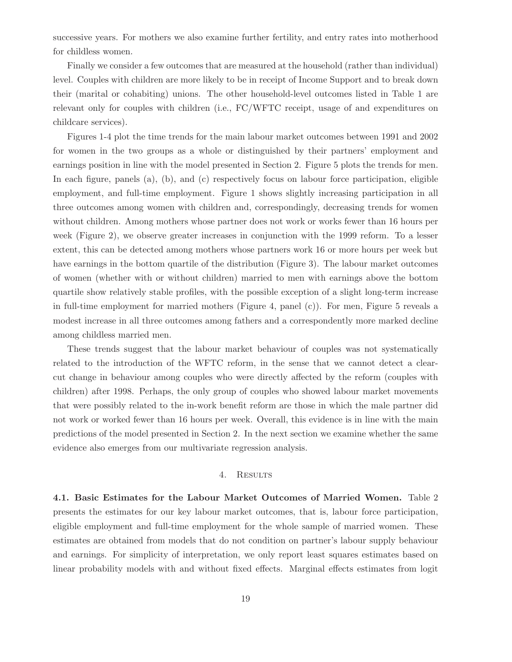successive years. For mothers we also examine further fertility, and entry rates into motherhood for childless women.

Finally we consider a few outcomes that are measured at the household (rather than individual) level. Couples with children are more likely to be in receipt of Income Support and to break down their (marital or cohabiting) unions. The other household-level outcomes listed in Table 1 are relevant only for couples with children (i.e., FC/WFTC receipt, usage of and expenditures on childcare services).

Figures 1-4 plot the time trends for the main labour market outcomes between 1991 and 2002 for women in the two groups as a whole or distinguished by their partners' employment and earnings position in line with the model presented in Section 2. Figure 5 plots the trends for men. In each figure, panels (a), (b), and (c) respectively focus on labour force participation, eligible employment, and full-time employment. Figure 1 shows slightly increasing participation in all three outcomes among women with children and, correspondingly, decreasing trends for women without children. Among mothers whose partner does not work or works fewer than 16 hours per week (Figure 2), we observe greater increases in conjunction with the 1999 reform. To a lesser extent, this can be detected among mothers whose partners work 16 or more hours per week but have earnings in the bottom quartile of the distribution (Figure 3). The labour market outcomes of women (whether with or without children) married to men with earnings above the bottom quartile show relatively stable profiles, with the possible exception of a slight long-term increase in full-time employment for married mothers (Figure 4, panel (c)). For men, Figure 5 reveals a modest increase in all three outcomes among fathers and a correspondently more marked decline among childless married men.

These trends suggest that the labour market behaviour of couples was not systematically related to the introduction of the WFTC reform, in the sense that we cannot detect a clearcut change in behaviour among couples who were directly affected by the reform (couples with children) after 1998. Perhaps, the only group of couples who showed labour market movements that were possibly related to the in-work benefit reform are those in which the male partner did not work or worked fewer than 16 hours per week. Overall, this evidence is in line with the main predictions of the model presented in Section 2. In the next section we examine whether the same evidence also emerges from our multivariate regression analysis.

#### 4. Results

4.1. Basic Estimates for the Labour Market Outcomes of Married Women. Table 2 presents the estimates for our key labour market outcomes, that is, labour force participation, eligible employment and full-time employment for the whole sample of married women. These estimates are obtained from models that do not condition on partner's labour supply behaviour and earnings. For simplicity of interpretation, we only report least squares estimates based on linear probability models with and without fixed effects. Marginal effects estimates from logit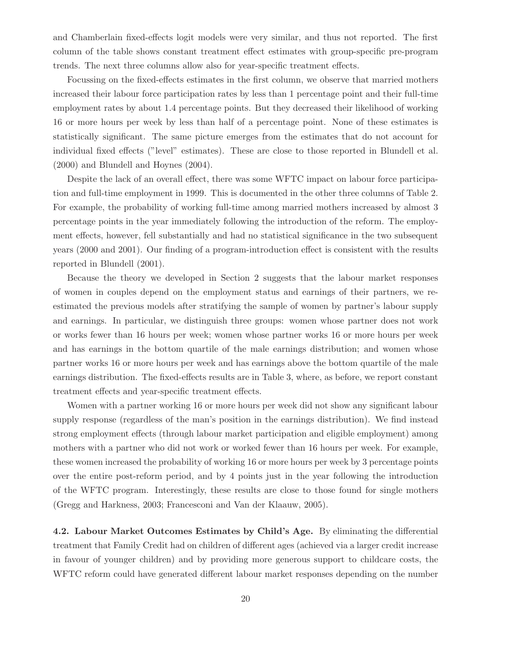and Chamberlain fixed-effects logit models were very similar, and thus not reported. The first column of the table shows constant treatment effect estimates with group-specific pre-program trends. The next three columns allow also for year-specific treatment effects.

Focussing on the fixed-effects estimates in the first column, we observe that married mothers increased their labour force participation rates by less than 1 percentage point and their full-time employment rates by about 1.4 percentage points. But they decreased their likelihood of working 16 or more hours per week by less than half of a percentage point. None of these estimates is statistically significant. The same picture emerges from the estimates that do not account for individual fixed effects ("level" estimates). These are close to those reported in Blundell et al. (2000) and Blundell and Hoynes (2004).

Despite the lack of an overall effect, there was some WFTC impact on labour force participation and full-time employment in 1999. This is documented in the other three columns of Table 2. For example, the probability of working full-time among married mothers increased by almost 3 percentage points in the year immediately following the introduction of the reform. The employment effects, however, fell substantially and had no statistical significance in the two subsequent years (2000 and 2001). Our finding of a program-introduction effect is consistent with the results reported in Blundell (2001).

Because the theory we developed in Section 2 suggests that the labour market responses of women in couples depend on the employment status and earnings of their partners, we reestimated the previous models after stratifying the sample of women by partner's labour supply and earnings. In particular, we distinguish three groups: women whose partner does not work or works fewer than 16 hours per week; women whose partner works 16 or more hours per week and has earnings in the bottom quartile of the male earnings distribution; and women whose partner works 16 or more hours per week and has earnings above the bottom quartile of the male earnings distribution. The fixed-effects results are in Table 3, where, as before, we report constant treatment effects and year-specific treatment effects.

Women with a partner working 16 or more hours per week did not show any significant labour supply response (regardless of the man's position in the earnings distribution). We find instead strong employment effects (through labour market participation and eligible employment) among mothers with a partner who did not work or worked fewer than 16 hours per week. For example, these women increased the probability of working 16 or more hours per week by 3 percentage points over the entire post-reform period, and by 4 points just in the year following the introduction of the WFTC program. Interestingly, these results are close to those found for single mothers (Gregg and Harkness, 2003; Francesconi and Van der Klaauw, 2005).

4.2. Labour Market Outcomes Estimates by Child's Age. By eliminating the differential treatment that Family Credit had on children of different ages (achieved via a larger credit increase in favour of younger children) and by providing more generous support to childcare costs, the WFTC reform could have generated different labour market responses depending on the number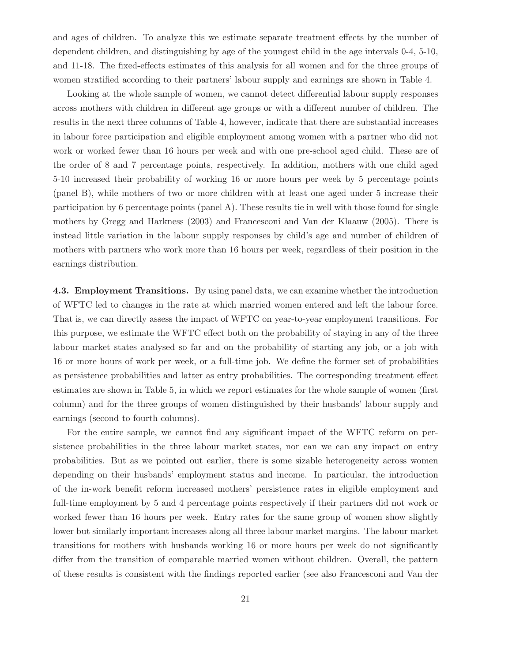and ages of children. To analyze this we estimate separate treatment effects by the number of dependent children, and distinguishing by age of the youngest child in the age intervals 0-4, 5-10, and 11-18. The fixed-effects estimates of this analysis for all women and for the three groups of women stratified according to their partners' labour supply and earnings are shown in Table 4.

Looking at the whole sample of women, we cannot detect differential labour supply responses across mothers with children in different age groups or with a different number of children. The results in the next three columns of Table 4, however, indicate that there are substantial increases in labour force participation and eligible employment among women with a partner who did not work or worked fewer than 16 hours per week and with one pre-school aged child. These are of the order of 8 and 7 percentage points, respectively. In addition, mothers with one child aged 5-10 increased their probability of working 16 or more hours per week by 5 percentage points (panel B), while mothers of two or more children with at least one aged under 5 increase their participation by 6 percentage points (panel A). These results tie in well with those found for single mothers by Gregg and Harkness (2003) and Francesconi and Van der Klaauw (2005). There is instead little variation in the labour supply responses by child's age and number of children of mothers with partners who work more than 16 hours per week, regardless of their position in the earnings distribution.

4.3. Employment Transitions. By using panel data, we can examine whether the introduction of WFTC led to changes in the rate at which married women entered and left the labour force. That is, we can directly assess the impact of WFTC on year-to-year employment transitions. For this purpose, we estimate the WFTC effect both on the probability of staying in any of the three labour market states analysed so far and on the probability of starting any job, or a job with 16 or more hours of work per week, or a full-time job. We define the former set of probabilities as persistence probabilities and latter as entry probabilities. The corresponding treatment effect estimates are shown in Table 5, in which we report estimates for the whole sample of women (first column) and for the three groups of women distinguished by their husbands' labour supply and earnings (second to fourth columns).

For the entire sample, we cannot find any significant impact of the WFTC reform on persistence probabilities in the three labour market states, nor can we can any impact on entry probabilities. But as we pointed out earlier, there is some sizable heterogeneity across women depending on their husbands' employment status and income. In particular, the introduction of the in-work benefit reform increased mothers' persistence rates in eligible employment and full-time employment by 5 and 4 percentage points respectively if their partners did not work or worked fewer than 16 hours per week. Entry rates for the same group of women show slightly lower but similarly important increases along all three labour market margins. The labour market transitions for mothers with husbands working 16 or more hours per week do not significantly differ from the transition of comparable married women without children. Overall, the pattern of these results is consistent with the findings reported earlier (see also Francesconi and Van der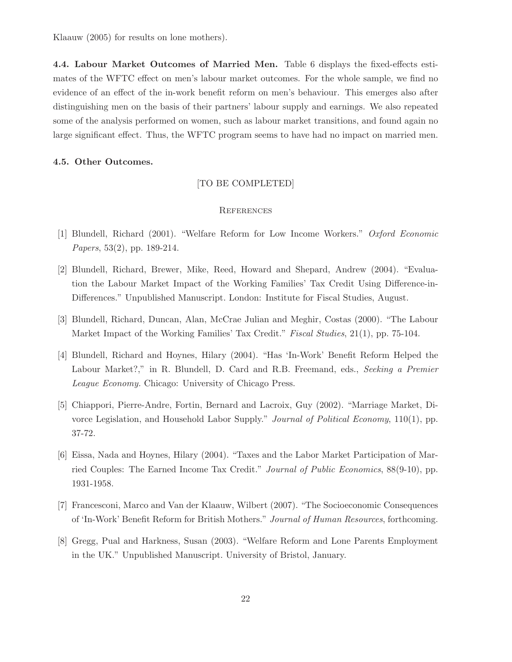Klaauw (2005) for results on lone mothers).

4.4. Labour Market Outcomes of Married Men. Table 6 displays the fixed-effects estimates of the WFTC effect on men's labour market outcomes. For the whole sample, we find no evidence of an effect of the in-work benefit reform on men's behaviour. This emerges also after distinguishing men on the basis of their partners' labour supply and earnings. We also repeated some of the analysis performed on women, such as labour market transitions, and found again no large significant effect. Thus, the WFTC program seems to have had no impact on married men.

#### 4.5. Other Outcomes.

### [TO BE COMPLETED]

### **REFERENCES**

- [1] Blundell, Richard (2001). "Welfare Reform for Low Income Workers." Oxford Economic Papers, 53(2), pp. 189-214.
- [2] Blundell, Richard, Brewer, Mike, Reed, Howard and Shepard, Andrew (2004). "Evaluation the Labour Market Impact of the Working Families' Tax Credit Using Difference-in-Differences." Unpublished Manuscript. London: Institute for Fiscal Studies, August.
- [3] Blundell, Richard, Duncan, Alan, McCrae Julian and Meghir, Costas (2000). "The Labour Market Impact of the Working Families' Tax Credit." *Fiscal Studies*, 21(1), pp. 75-104.
- [4] Blundell, Richard and Hoynes, Hilary (2004). "Has 'In-Work' Benefit Reform Helped the Labour Market?," in R. Blundell, D. Card and R.B. Freemand, eds., Seeking a Premier League Economy. Chicago: University of Chicago Press.
- [5] Chiappori, Pierre-Andre, Fortin, Bernard and Lacroix, Guy (2002). "Marriage Market, Divorce Legislation, and Household Labor Supply." *Journal of Political Economy*, 110(1), pp. 37-72.
- [6] Eissa, Nada and Hoynes, Hilary (2004). "Taxes and the Labor Market Participation of Married Couples: The Earned Income Tax Credit." Journal of Public Economics, 88(9-10), pp. 1931-1958.
- [7] Francesconi, Marco and Van der Klaauw, Wilbert (2007). "The Socioeconomic Consequences of 'In-Work' Benefit Reform for British Mothers." Journal of Human Resources, forthcoming.
- [8] Gregg, Pual and Harkness, Susan (2003). "Welfare Reform and Lone Parents Employment in the UK." Unpublished Manuscript. University of Bristol, January.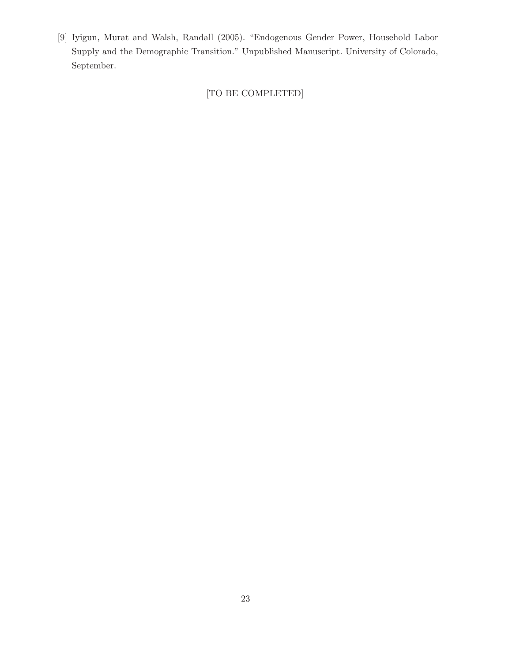[9] Iyigun, Murat and Walsh, Randall (2005). "Endogenous Gender Power, Household Labor Supply and the Demographic Transition." Unpublished Manuscript. University of Colorado, September.

[TO BE COMPLETED]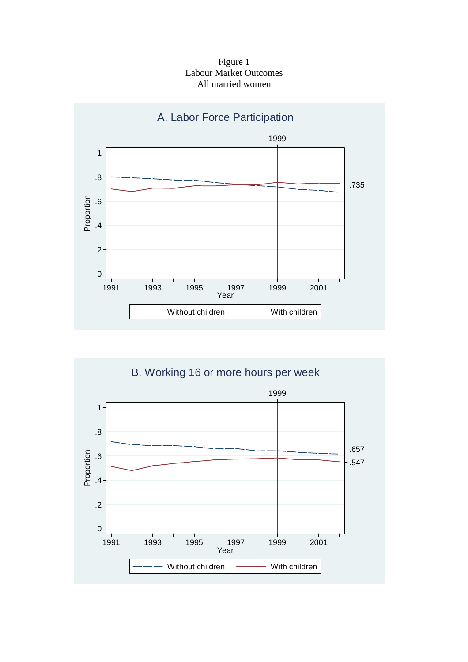Figure 1 Labour Market Outcomes All married women



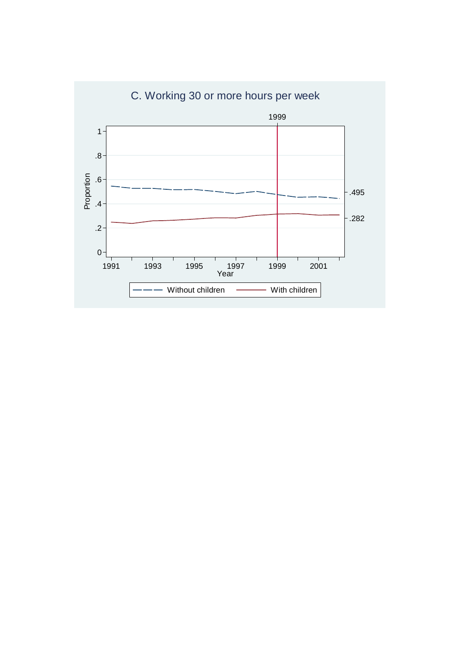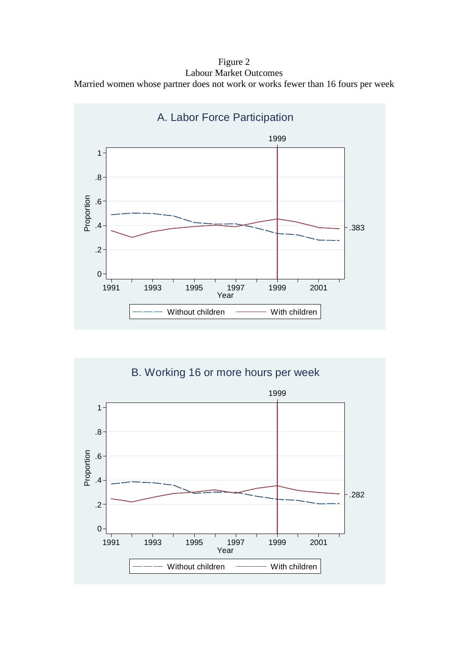Figure 2 Labour Market Outcomes Married women whose partner does not work or works fewer than 16 fours per week



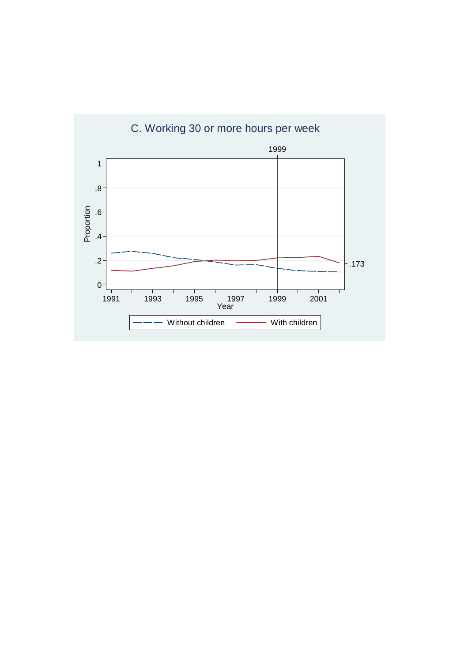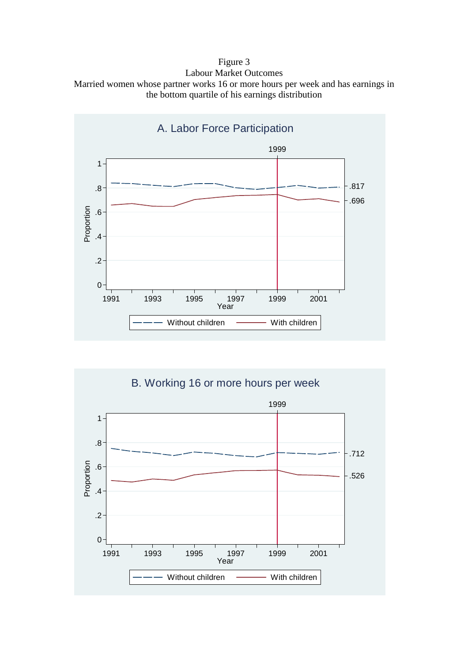Figure 3 Labour Market Outcomes Married women whose partner works 16 or more hours per week and has earnings in the bottom quartile of his earnings distribution



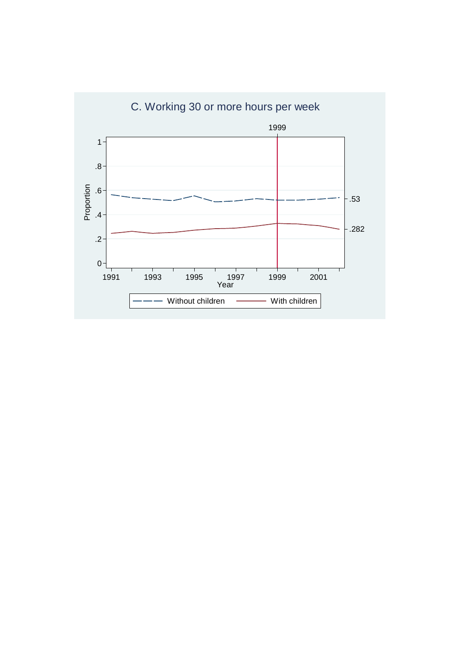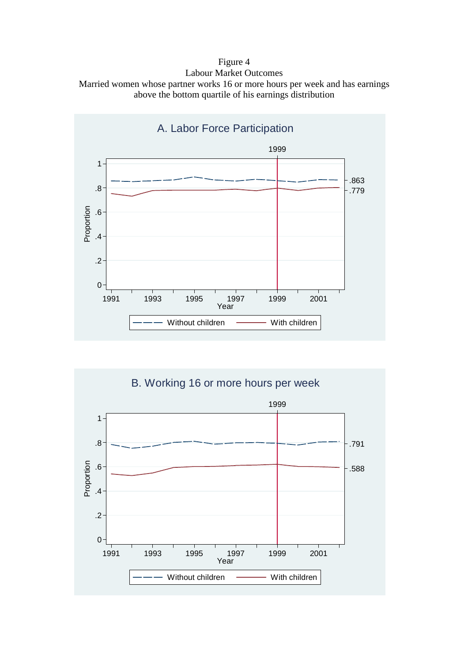Figure 4 Labour Market Outcomes Married women whose partner works 16 or more hours per week and has earnings above the bottom quartile of his earnings distribution



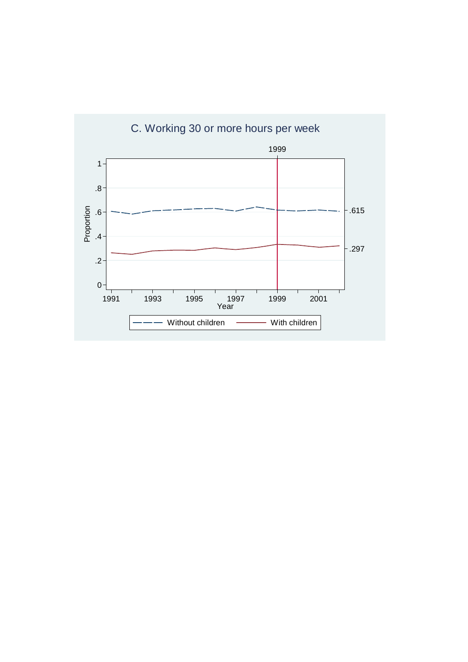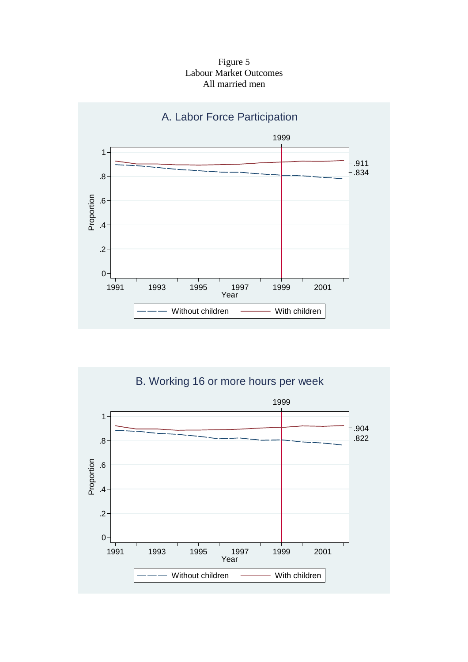Figure 5 Labour Market Outcomes All married men



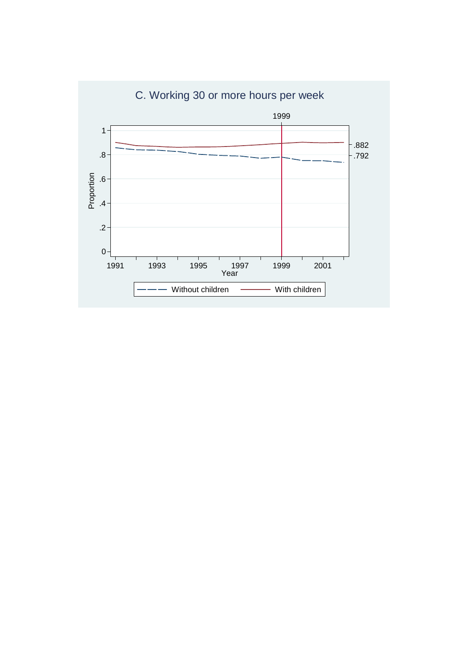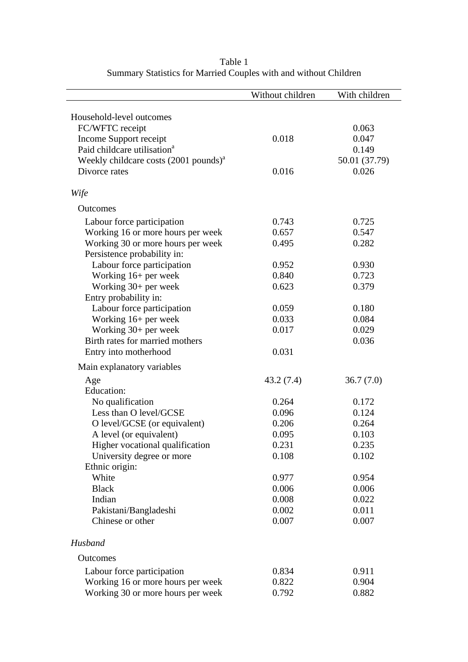|                                                  | Without children | With children |
|--------------------------------------------------|------------------|---------------|
|                                                  |                  |               |
| Household-level outcomes<br>FC/WFTC receipt      |                  | 0.063         |
| Income Support receipt                           | 0.018            | 0.047         |
| Paid childcare utilisation <sup>a</sup>          |                  | 0.149         |
| Weekly childcare costs $(2001 \text{ pounds})^a$ |                  | 50.01 (37.79) |
| Divorce rates                                    | 0.016            | 0.026         |
|                                                  |                  |               |
| Wife                                             |                  |               |
| Outcomes                                         |                  |               |
| Labour force participation                       | 0.743            | 0.725         |
| Working 16 or more hours per week                | 0.657            | 0.547         |
| Working 30 or more hours per week                | 0.495            | 0.282         |
| Persistence probability in:                      |                  |               |
| Labour force participation                       | 0.952            | 0.930         |
| Working 16+ per week                             | 0.840            | 0.723         |
| Working 30+ per week                             | 0.623            | 0.379         |
| Entry probability in:                            |                  |               |
| Labour force participation                       | 0.059            | 0.180         |
| Working 16+ per week                             | 0.033            | 0.084         |
| Working $30+$ per week                           | 0.017            | 0.029         |
| Birth rates for married mothers                  |                  | 0.036         |
| Entry into motherhood                            | 0.031            |               |
| Main explanatory variables                       |                  |               |
| Age                                              | 43.2(7.4)        | 36.7(7.0)     |
| <b>Education:</b>                                |                  |               |
| No qualification                                 | 0.264            | 0.172         |
| Less than O level/GCSE                           | 0.096            | 0.124         |
| O level/GCSE (or equivalent)                     | 0.206            | 0.264         |
| A level (or equivalent)                          | 0.095            | 0.103         |
| Higher vocational qualification                  | 0.231            | 0.235         |
| University degree or more                        | 0.108            | 0.102         |
| Ethnic origin:                                   |                  |               |
| White                                            | 0.977            | 0.954         |
| <b>Black</b>                                     | 0.006            | 0.006         |
| Indian                                           | 0.008            | 0.022         |
| Pakistani/Bangladeshi                            | 0.002            | 0.011         |
| Chinese or other                                 | 0.007            | 0.007         |
| Husband                                          |                  |               |
| <b>Outcomes</b>                                  |                  |               |
| Labour force participation                       | 0.834            | 0.911         |
| Working 16 or more hours per week                | 0.822            | 0.904         |
| Working 30 or more hours per week                | 0.792            | 0.882         |

Table 1 Summary Statistics for Married Couples with and without Children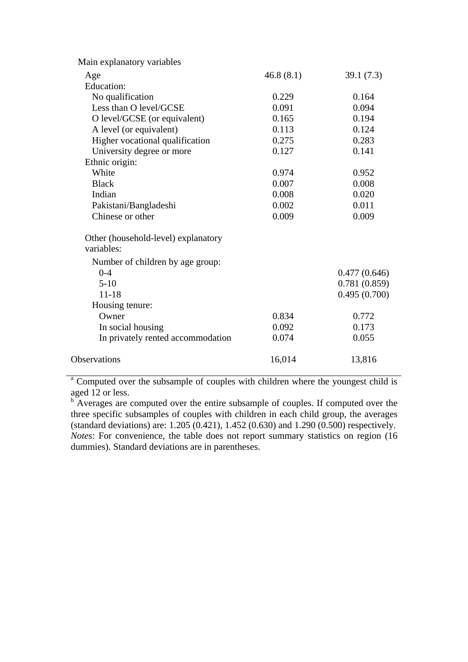| Main explanatory variables          |           |              |
|-------------------------------------|-----------|--------------|
| Age                                 | 46.8(8.1) | 39.1(7.3)    |
| <b>Education:</b>                   |           |              |
| No qualification                    | 0.229     | 0.164        |
| Less than O level/GCSE              | 0.091     | 0.094        |
| O level/GCSE (or equivalent)        | 0.165     | 0.194        |
| A level (or equivalent)             | 0.113     | 0.124        |
| Higher vocational qualification     | 0.275     | 0.283        |
| University degree or more           | 0.127     | 0.141        |
| Ethnic origin:                      |           |              |
| White                               | 0.974     | 0.952        |
| <b>Black</b>                        | 0.007     | 0.008        |
| Indian                              | 0.008     | 0.020        |
| Pakistani/Bangladeshi               | 0.002     | 0.011        |
| Chinese or other                    | 0.009     | 0.009        |
| Other (household-level) explanatory |           |              |
| variables:                          |           |              |
| Number of children by age group:    |           |              |
| $0 - 4$                             |           | 0.477(0.646) |
| $5 - 10$                            |           | 0.781(0.859) |
| $11 - 18$                           |           | 0.495(0.700) |
| Housing tenure:                     |           |              |
| Owner                               | 0.834     | 0.772        |
| In social housing                   | 0.092     | 0.173        |
| In privately rented accommodation   | 0.074     | 0.055        |
| <b>Observations</b>                 | 16,014    | 13,816       |
|                                     |           |              |

<sup>a</sup> Computed over the subsample of couples with children where the youngest child is

aged 12 or less.<br><sup>b</sup> Averages are computed over the entire subsample of couples. If computed over the three specific subsamples of couples with children in each child group, the averages (standard deviations) are: 1.205 (0.421), 1.452 (0.630) and 1.290 (0.500) respectively. *Notes*: For convenience, the table does not report summary statistics on region (16) dummies). Standard deviations are in parentheses.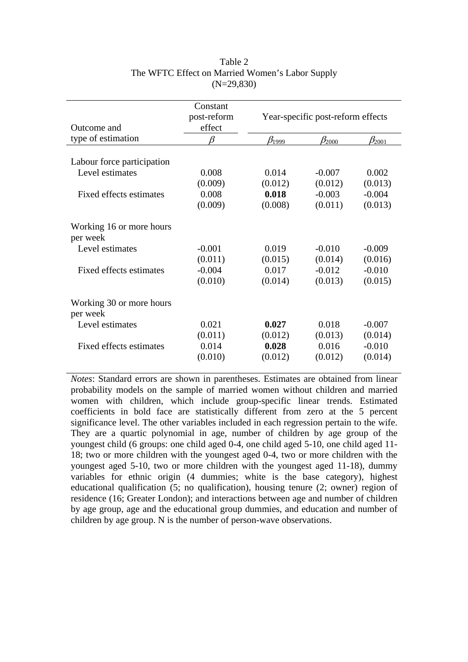| Outcome and                          | Constant<br>post-reform<br>effect | Year-specific post-reform effects |                |                |
|--------------------------------------|-----------------------------------|-----------------------------------|----------------|----------------|
| type of estimation                   | ß                                 | $\beta_{1999}$                    | $\beta_{2000}$ | $\beta_{2001}$ |
| Labour force participation           |                                   |                                   |                |                |
| Level estimates                      | 0.008                             | 0.014                             | $-0.007$       | 0.002          |
|                                      | (0.009)                           | (0.012)                           | (0.012)        | (0.013)        |
| Fixed effects estimates              | 0.008                             | 0.018                             | $-0.003$       | $-0.004$       |
|                                      | (0.009)                           | (0.008)                           | (0.011)        | (0.013)        |
| Working 16 or more hours<br>per week |                                   |                                   |                |                |
| Level estimates                      | $-0.001$                          | 0.019                             | $-0.010$       | $-0.009$       |
|                                      | (0.011)                           | (0.015)                           | (0.014)        | (0.016)        |
| Fixed effects estimates              | $-0.004$                          | 0.017                             | $-0.012$       | $-0.010$       |
|                                      | (0.010)                           | (0.014)                           | (0.013)        | (0.015)        |
| Working 30 or more hours<br>per week |                                   |                                   |                |                |
| Level estimates                      | 0.021                             | 0.027                             | 0.018          | $-0.007$       |
|                                      | (0.011)                           | (0.012)                           | (0.013)        | (0.014)        |
| Fixed effects estimates              | 0.014                             | 0.028                             | 0.016          | $-0.010$       |
|                                      | (0.010)                           | (0.012)                           | (0.012)        | (0.014)        |
|                                      |                                   |                                   |                |                |

# Table 2 The WFTC Effect on Married Women's Labor Supply (N=29,830)

*Notes*: Standard errors are shown in parentheses. Estimates are obtained from linear probability models on the sample of married women without children and married women with children, which include group-specific linear trends. Estimated coefficients in bold face are statistically different from zero at the 5 percent significance level. The other variables included in each regression pertain to the wife. They are a quartic polynomial in age, number of children by age group of the youngest child (6 groups: one child aged 0-4, one child aged 5-10, one child aged 11- 18; two or more children with the youngest aged 0-4, two or more children with the youngest aged 5-10, two or more children with the youngest aged 11-18), dummy variables for ethnic origin (4 dummies; white is the base category), highest educational qualification (5; no qualification), housing tenure (2; owner) region of residence (16; Greater London); and interactions between age and number of children by age group, age and the educational group dummies, and education and number of children by age group. N is the number of person-wave observations.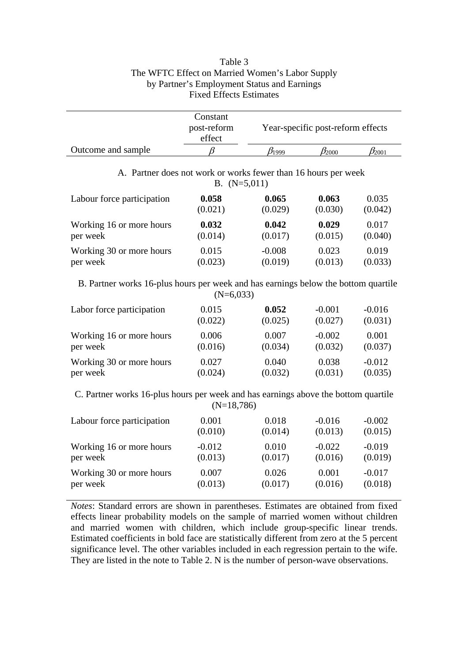| Table 3                                         |
|-------------------------------------------------|
| The WFTC Effect on Married Women's Labor Supply |
| by Partner's Employment Status and Earnings     |
| <b>Fixed Effects Estimates</b>                  |
|                                                 |

|                    | Constant<br>post-reform<br>effect |       | Year-specific post-reform effects |            |
|--------------------|-----------------------------------|-------|-----------------------------------|------------|
| Outcome and sample |                                   | 21999 | <b>2</b> 000                      | $v_{2001}$ |

## A. Partner does not work or works fewer than 16 hours per week B. (N=5,011)

| Labour force participation | 0.058   | 0.065    | 0.063   | 0.035   |
|----------------------------|---------|----------|---------|---------|
|                            | (0.021) | (0.029)  | (0.030) | (0.042) |
| Working 16 or more hours   | 0.032   | 0.042    | 0.029   | 0.017   |
| per week                   | (0.014) | (0.017)  | (0.015) | (0.040) |
| Working 30 or more hours   | 0.015   | $-0.008$ | 0.023   | 0.019   |
| per week                   | (0.023) | (0.019)  | (0.013) | (0.033) |

B. Partner works 16-plus hours per week and has earnings below the bottom quartile  $(N=6.033)$ 

| Labor force participation | 0.015   | 0.052   | $-0.001$ | $-0.016$ |
|---------------------------|---------|---------|----------|----------|
|                           | (0.022) | (0.025) | (0.027)  | (0.031)  |
| Working 16 or more hours  | 0.006   | 0.007   | $-0.002$ | 0.001    |
| per week                  | (0.016) | (0.034) | (0.032)  | (0.037)  |
| Working 30 or more hours  | 0.027   | 0.040   | 0.038    | $-0.012$ |
| per week                  | (0.024) | (0.032) | (0.031)  | (0.035)  |

C. Partner works 16-plus hours per week and has earnings above the bottom quartile (N=18,786)

|                            | .        |         |          |          |
|----------------------------|----------|---------|----------|----------|
| Labour force participation | 0.001    | 0.018   | $-0.016$ | $-0.002$ |
|                            | (0.010)  | (0.014) | (0.013)  | (0.015)  |
| Working 16 or more hours   | $-0.012$ | 0.010   | $-0.022$ | $-0.019$ |
| per week                   | (0.013)  | (0.017) | (0.016)  | (0.019)  |
| Working 30 or more hours   | 0.007    | 0.026   | 0.001    | $-0.017$ |
| per week                   | (0.013)  | (0.017) | (0.016)  | (0.018)  |

*Notes*: Standard errors are shown in parentheses. Estimates are obtained from fixed effects linear probability models on the sample of married women without children and married women with children, which include group-specific linear trends. Estimated coefficients in bold face are statistically different from zero at the 5 percent significance level. The other variables included in each regression pertain to the wife. They are listed in the note to Table 2. N is the number of person-wave observations.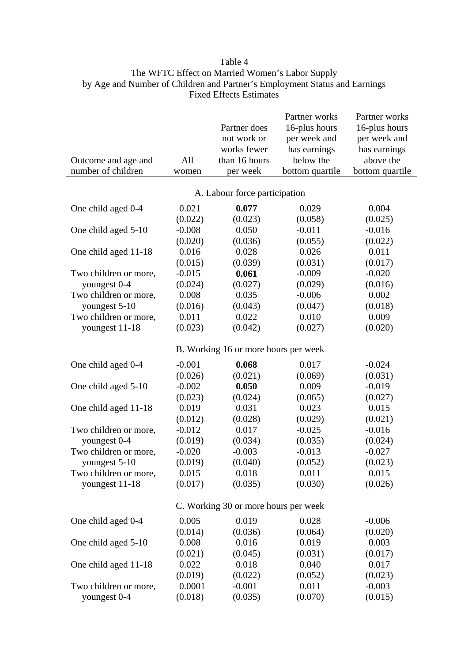|                       |          |                                      | Partner works   | Partner works   |
|-----------------------|----------|--------------------------------------|-----------------|-----------------|
|                       |          | Partner does                         | 16-plus hours   | 16-plus hours   |
|                       |          | not work or                          | per week and    | per week and    |
|                       |          | works fewer                          | has earnings    | has earnings    |
| Outcome and age and   | All      | than 16 hours                        | below the       | above the       |
| number of children    | women    | per week                             | bottom quartile | bottom quartile |
|                       |          | A. Labour force participation        |                 |                 |
| One child aged 0-4    | 0.021    | 0.077                                | 0.029           | 0.004           |
|                       | (0.022)  | (0.023)                              | (0.058)         | (0.025)         |
| One child aged 5-10   | $-0.008$ | 0.050                                | $-0.011$        | $-0.016$        |
|                       | (0.020)  | (0.036)                              | (0.055)         | (0.022)         |
| One child aged 11-18  | 0.016    | 0.028                                | 0.026           | 0.011           |
|                       | (0.015)  | (0.039)                              | (0.031)         | (0.017)         |
| Two children or more, | $-0.015$ | 0.061                                | $-0.009$        | $-0.020$        |
| youngest 0-4          | (0.024)  | (0.027)                              | (0.029)         | (0.016)         |
| Two children or more, | 0.008    | 0.035                                | $-0.006$        | 0.002           |
| youngest 5-10         | (0.016)  | (0.043)                              | (0.047)         | (0.018)         |
| Two children or more, | 0.011    | 0.022                                | 0.010           | 0.009           |
| youngest 11-18        | (0.023)  | (0.042)                              | (0.027)         | (0.020)         |
|                       |          |                                      |                 |                 |
|                       |          | B. Working 16 or more hours per week |                 |                 |
| One child aged 0-4    | $-0.001$ | 0.068                                | 0.017           | $-0.024$        |
|                       | (0.026)  | (0.021)                              | (0.069)         | (0.031)         |
| One child aged 5-10   | $-0.002$ | 0.050                                | 0.009           | $-0.019$        |
|                       | (0.023)  | (0.024)                              | (0.065)         | (0.027)         |
| One child aged 11-18  | 0.019    | 0.031                                | 0.023           | 0.015           |
|                       | (0.012)  | (0.028)                              | (0.029)         | (0.021)         |
| Two children or more, | $-0.012$ | 0.017                                | $-0.025$        | $-0.016$        |
| youngest 0-4          | (0.019)  | (0.034)                              | (0.035)         | (0.024)         |
| Two children or more, | $-0.020$ | $-0.003$                             | $-0.013$        | $-0.027$        |
| youngest 5-10         | (0.019)  | (0.040)                              | (0.052)         | (0.023)         |
| Two children or more, | 0.015    | 0.018                                | 0.011           | 0.015           |
| youngest 11-18        | (0.017)  | (0.035)                              | (0.030)         | (0.026)         |
|                       |          | C. Working 30 or more hours per week |                 |                 |
| One child aged 0-4    | 0.005    | 0.019                                | 0.028           | $-0.006$        |
|                       | (0.014)  | (0.036)                              | (0.064)         | (0.020)         |
| One child aged 5-10   | 0.008    | 0.016                                | 0.019           | 0.003           |
|                       | (0.021)  | (0.045)                              | (0.031)         | (0.017)         |
| One child aged 11-18  | 0.022    | 0.018                                | 0.040           | 0.017           |
|                       | (0.019)  | (0.022)                              | (0.052)         | (0.023)         |
| Two children or more, | 0.0001   | $-0.001$                             | 0.011           | $-0.003$        |
|                       | (0.018)  |                                      |                 |                 |
| youngest 0-4          |          | (0.035)                              | (0.070)         | (0.015)         |

| Table 4                                                                    |
|----------------------------------------------------------------------------|
| The WFTC Effect on Married Women's Labor Supply                            |
| by Age and Number of Children and Partner's Employment Status and Earnings |
| <b>Fixed Effects Estimates</b>                                             |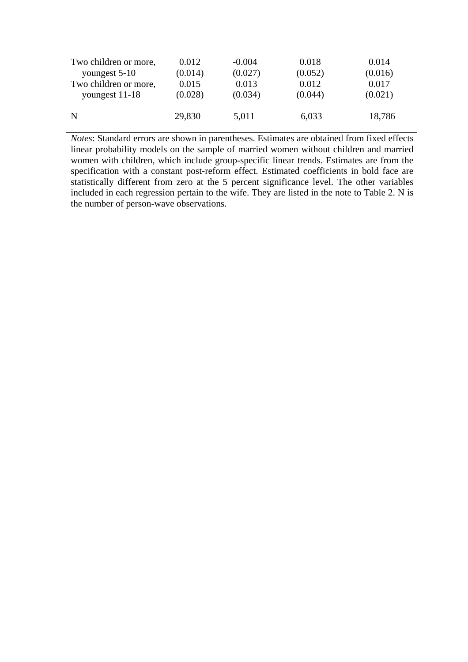| Two children or more, | 0.012   | $-0.004$ | 0.018   | 0.014   |
|-----------------------|---------|----------|---------|---------|
| youngest 5-10         | (0.014) | (0.027)  | (0.052) | (0.016) |
| Two children or more, | 0.015   | 0.013    | 0.012   | 0.017   |
| youngest 11-18        | (0.028) | (0.034)  | (0.044) | (0.021) |
| N                     | 29,830  | 5,011    | 6,033   | 18,786  |

*Notes*: Standard errors are shown in parentheses. Estimates are obtained from fixed effects linear probability models on the sample of married women without children and married women with children, which include group-specific linear trends. Estimates are from the specification with a constant post-reform effect. Estimated coefficients in bold face are statistically different from zero at the 5 percent significance level. The other variables included in each regression pertain to the wife. They are listed in the note to Table 2. N is the number of person-wave observations.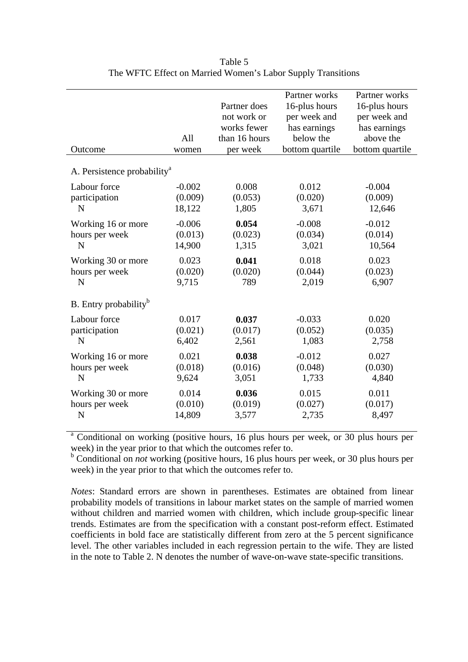| Outcome                                 | All<br>women | Partner does<br>not work or<br>works fewer<br>than 16 hours<br>per week | Partner works<br>16-plus hours<br>per week and<br>has earnings<br>below the<br>bottom quartile | Partner works<br>16-plus hours<br>per week and<br>has earnings<br>above the<br>bottom quartile |
|-----------------------------------------|--------------|-------------------------------------------------------------------------|------------------------------------------------------------------------------------------------|------------------------------------------------------------------------------------------------|
| A. Persistence probability <sup>a</sup> |              |                                                                         |                                                                                                |                                                                                                |
| Labour force                            | $-0.002$     | 0.008                                                                   | 0.012                                                                                          | $-0.004$                                                                                       |
| participation                           | (0.009)      | (0.053)                                                                 | (0.020)                                                                                        | (0.009)                                                                                        |
| N                                       | 18,122       | 1,805                                                                   | 3,671                                                                                          | 12,646                                                                                         |
| Working 16 or more                      | $-0.006$     | 0.054                                                                   | $-0.008$                                                                                       | $-0.012$                                                                                       |
| hours per week                          | (0.013)      | (0.023)                                                                 | (0.034)                                                                                        | (0.014)                                                                                        |
| N                                       | 14,900       | 1,315                                                                   | 3,021                                                                                          | 10,564                                                                                         |
| Working 30 or more                      | 0.023        | 0.041                                                                   | 0.018                                                                                          | 0.023                                                                                          |
| hours per week                          | (0.020)      | (0.020)                                                                 | (0.044)                                                                                        | (0.023)                                                                                        |
| N                                       | 9,715        | 789                                                                     | 2,019                                                                                          | 6,907                                                                                          |
| B. Entry probability <sup>b</sup>       |              |                                                                         |                                                                                                |                                                                                                |
| Labour force                            | 0.017        | 0.037                                                                   | $-0.033$                                                                                       | 0.020                                                                                          |
| participation                           | (0.021)      | (0.017)                                                                 | (0.052)                                                                                        | (0.035)                                                                                        |
| N                                       | 6,402        | 2,561                                                                   | 1,083                                                                                          | 2,758                                                                                          |
| Working 16 or more                      | 0.021        | 0.038                                                                   | $-0.012$                                                                                       | 0.027                                                                                          |
| hours per week                          | (0.018)      | (0.016)                                                                 | (0.048)                                                                                        | (0.030)                                                                                        |
| N                                       | 9,624        | 3,051                                                                   | 1,733                                                                                          | 4,840                                                                                          |
| Working 30 or more                      | 0.014        | 0.036                                                                   | 0.015                                                                                          | 0.011                                                                                          |
| hours per week                          | (0.010)      | (0.019)                                                                 | (0.027)                                                                                        | (0.017)                                                                                        |
| $\mathbf N$                             | 14,809       | 3,577                                                                   | 2,735                                                                                          | 8,497                                                                                          |

Table 5 The WFTC Effect on Married Women's Labor Supply Transitions

<sup>a</sup> Conditional on working (positive hours, 16 plus hours per week, or 30 plus hours per week) in the year prior to that which the outcomes refer to.

<sup>b</sup> Conditional on *not* working (positive hours, 16 plus hours per week, or 30 plus hours per week) in the year prior to that which the outcomes refer to.

*Notes*: Standard errors are shown in parentheses. Estimates are obtained from linear probability models of transitions in labour market states on the sample of married women without children and married women with children, which include group-specific linear trends. Estimates are from the specification with a constant post-reform effect. Estimated coefficients in bold face are statistically different from zero at the 5 percent significance level. The other variables included in each regression pertain to the wife. They are listed in the note to Table 2. N denotes the number of wave-on-wave state-specific transitions.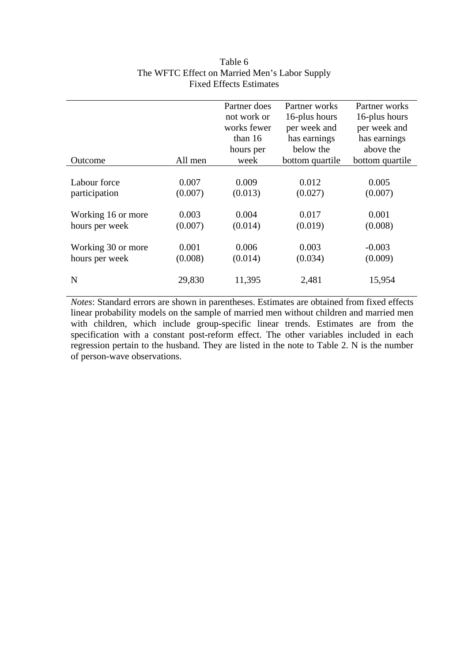|                    |         | Partner does | Partner works   | Partner works   |
|--------------------|---------|--------------|-----------------|-----------------|
|                    |         | not work or  | 16-plus hours   | 16-plus hours   |
|                    |         | works fewer  | per week and    | per week and    |
|                    |         | than $16$    | has earnings    | has earnings    |
|                    |         | hours per    | below the       | above the       |
| Outcome            | All men | week         | bottom quartile | bottom quartile |
|                    |         |              |                 |                 |
| Labour force       | 0.007   | 0.009        | 0.012           | 0.005           |
| participation      | (0.007) | (0.013)      | (0.027)         | (0.007)         |
|                    |         |              |                 |                 |
| Working 16 or more | 0.003   | 0.004        | 0.017           | 0.001           |
| hours per week     | (0.007) | (0.014)      | (0.019)         | (0.008)         |
|                    |         |              |                 |                 |
| Working 30 or more | 0.001   | 0.006        | 0.003           | $-0.003$        |
| hours per week     | (0.008) | (0.014)      | (0.034)         | (0.009)         |
|                    |         |              |                 |                 |
| N                  | 29,830  | 11,395       | 2,481           | 15,954          |
|                    |         |              |                 |                 |

# Table 6 The WFTC Effect on Married Men's Labor Supply Fixed Effects Estimates

*Notes*: Standard errors are shown in parentheses. Estimates are obtained from fixed effects linear probability models on the sample of married men without children and married men with children, which include group-specific linear trends. Estimates are from the specification with a constant post-reform effect. The other variables included in each regression pertain to the husband. They are listed in the note to Table 2. N is the number of person-wave observations.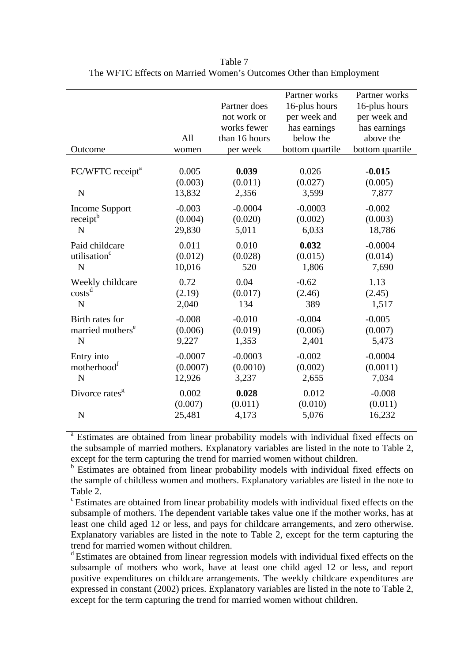| Outcome                                     | All<br>women               | Partner does<br>not work or<br>works fewer<br>than 16 hours<br>per week | Partner works<br>16-plus hours<br>per week and<br>has earnings<br>below the<br>bottom quartile | Partner works<br>16-plus hours<br>per week and<br>has earnings<br>above the<br>bottom quartile |
|---------------------------------------------|----------------------------|-------------------------------------------------------------------------|------------------------------------------------------------------------------------------------|------------------------------------------------------------------------------------------------|
| FC/WFTC receipt <sup>a</sup><br>$\mathbf N$ | 0.005<br>(0.003)<br>13,832 | 0.039<br>(0.011)<br>2,356                                               | 0.026<br>(0.027)<br>3,599                                                                      | $-0.015$<br>(0.005)<br>7,877                                                                   |
| <b>Income Support</b>                       | $-0.003$                   | $-0.0004$                                                               | $-0.0003$                                                                                      | $-0.002$                                                                                       |
| receipt <sup>b</sup>                        | (0.004)                    | (0.020)                                                                 | (0.002)                                                                                        | (0.003)                                                                                        |
| $\mathbf N$                                 | 29,830                     | 5,011                                                                   | 6,033                                                                                          | 18,786                                                                                         |
| Paid childcare                              | 0.011                      | 0.010                                                                   | 0.032                                                                                          | $-0.0004$                                                                                      |
| utilisation <sup>c</sup>                    | (0.012)                    | (0.028)                                                                 | (0.015)                                                                                        | (0.014)                                                                                        |
| $\mathbf N$                                 | 10,016                     | 520                                                                     | 1,806                                                                                          | 7,690                                                                                          |
| Weekly childcare                            | 0.72                       | 0.04                                                                    | $-0.62$                                                                                        | 1.13                                                                                           |
| $costs^d$                                   | (2.19)                     | (0.017)                                                                 | (2.46)                                                                                         | (2.45)                                                                                         |
| $\mathbf N$                                 | 2,040                      | 134                                                                     | 389                                                                                            | 1,517                                                                                          |
| Birth rates for                             | $-0.008$                   | $-0.010$                                                                | $-0.004$                                                                                       | $-0.005$                                                                                       |
| married mothers <sup>e</sup>                | (0.006)                    | (0.019)                                                                 | (0.006)                                                                                        | (0.007)                                                                                        |
| N                                           | 9,227                      | 1,353                                                                   | 2,401                                                                                          | 5,473                                                                                          |
| Entry into                                  | $-0.0007$                  | $-0.0003$                                                               | $-0.002$                                                                                       | $-0.0004$                                                                                      |
| motherhood <sup>1</sup>                     | (0.0007)                   | (0.0010)                                                                | (0.002)                                                                                        | (0.0011)                                                                                       |
| N                                           | 12,926                     | 3,237                                                                   | 2,655                                                                                          | 7,034                                                                                          |
| Divorce rates <sup>g</sup><br>N             | 0.002<br>(0.007)<br>25,481 | 0.028<br>(0.011)<br>4,173                                               | 0.012<br>(0.010)<br>5,076                                                                      | $-0.008$<br>(0.011)<br>16,232                                                                  |

Table 7 The WFTC Effects on Married Women's Outcomes Other than Employment

<sup>a</sup> Estimates are obtained from linear probability models with individual fixed effects on the subsample of married mothers. Explanatory variables are listed in the note to Table 2, except for the term capturing the trend for married women without children.

<sup>b</sup> Estimates are obtained from linear probability models with individual fixed effects on the sample of childless women and mothers. Explanatory variables are listed in the note to Table 2.

c Estimates are obtained from linear probability models with individual fixed effects on the subsample of mothers. The dependent variable takes value one if the mother works, has at least one child aged 12 or less, and pays for childcare arrangements, and zero otherwise. Explanatory variables are listed in the note to Table 2, except for the term capturing the trend for married women without children.

d Estimates are obtained from linear regression models with individual fixed effects on the subsample of mothers who work, have at least one child aged 12 or less, and report positive expenditures on childcare arrangements. The weekly childcare expenditures are expressed in constant (2002) prices. Explanatory variables are listed in the note to Table 2, except for the term capturing the trend for married women without children.